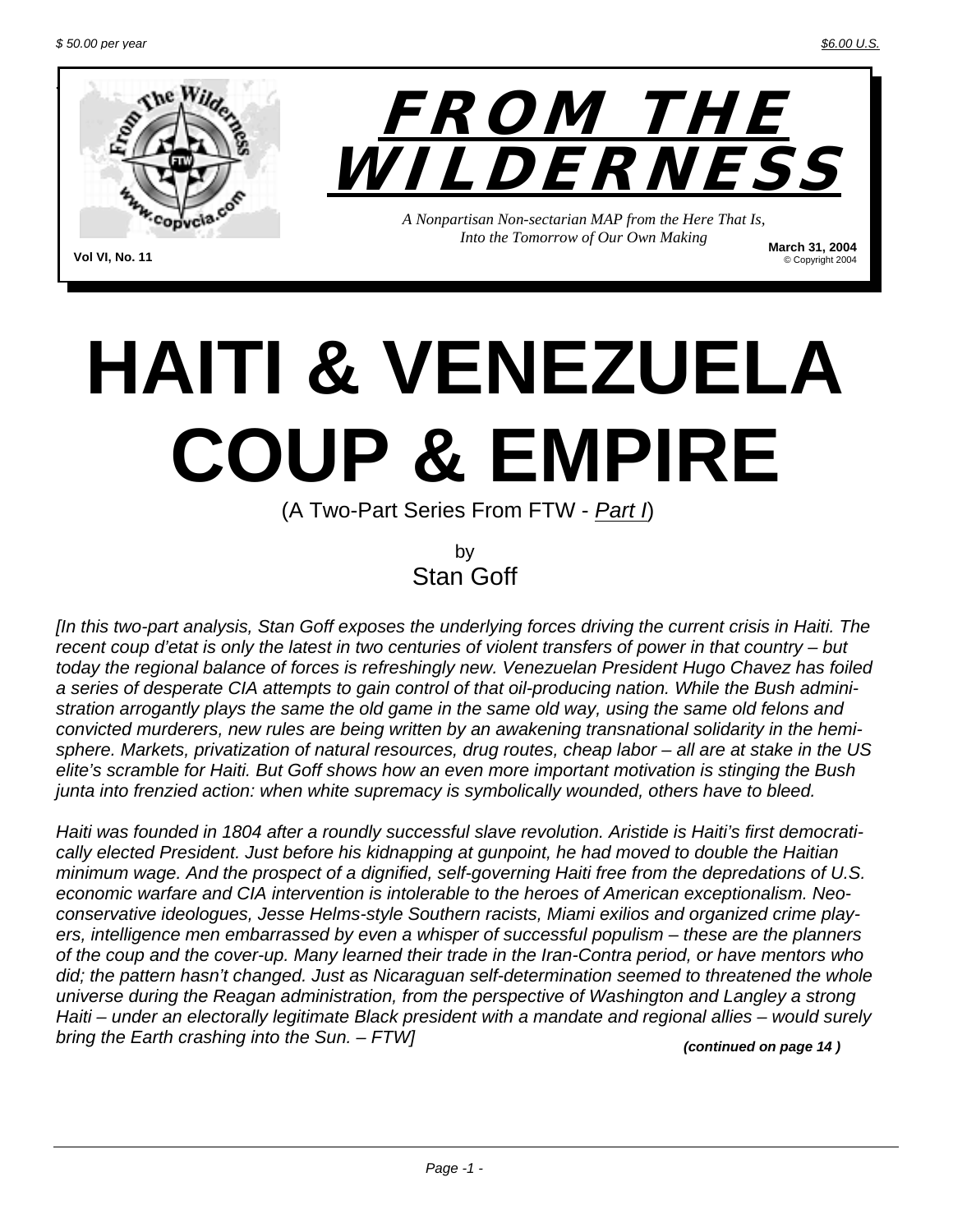© Copyright 2004



**Vol VI, No. 11**

# **HAITI & VENEZUELA COUP & EMPIRE**

(A Two-Part Series From FTW - *Part I*)

by Stan Goff

*[In this two-part analysis, Stan Goff exposes the underlying forces driving the current crisis in Haiti. The recent coup d'etat is only the latest in two centuries of violent transfers of power in that country – but today the regional balance of forces is refreshingly new. Venezuelan President Hugo Chavez has foiled a series of desperate CIA attempts to gain control of that oil-producing nation. While the Bush administration arrogantly plays the same the old game in the same old way, using the same old felons and convicted murderers, new rules are being written by an awakening transnational solidarity in the hemisphere. Markets, privatization of natural resources, drug routes, cheap labor – all are at stake in the US elite's scramble for Haiti. But Goff shows how an even more important motivation is stinging the Bush junta into frenzied action: when white supremacy is symbolically wounded, others have to bleed.* 

*Haiti was founded in 1804 after a roundly successful slave revolution. Aristide is Haiti's first democratically elected President. Just before his kidnapping at gunpoint, he had moved to double the Haitian minimum wage. And the prospect of a dignified, self-governing Haiti free from the depredations of U.S. economic warfare and CIA intervention is intolerable to the heroes of American exceptionalism. Neoconservative ideologues, Jesse Helms-style Southern racists, Miami exilios and organized crime players, intelligence men embarrassed by even a whisper of successful populism – these are the planners of the coup and the cover-up. Many learned their trade in the Iran-Contra period, or have mentors who did; the pattern hasn't changed. Just as Nicaraguan self-determination seemed to threatened the whole universe during the Reagan administration, from the perspective of Washington and Langley a strong Haiti – under an electorally legitimate Black president with a mandate and regional allies – would surely bring the Earth crashing into the Sun. – FTW] (continued on page 14 )*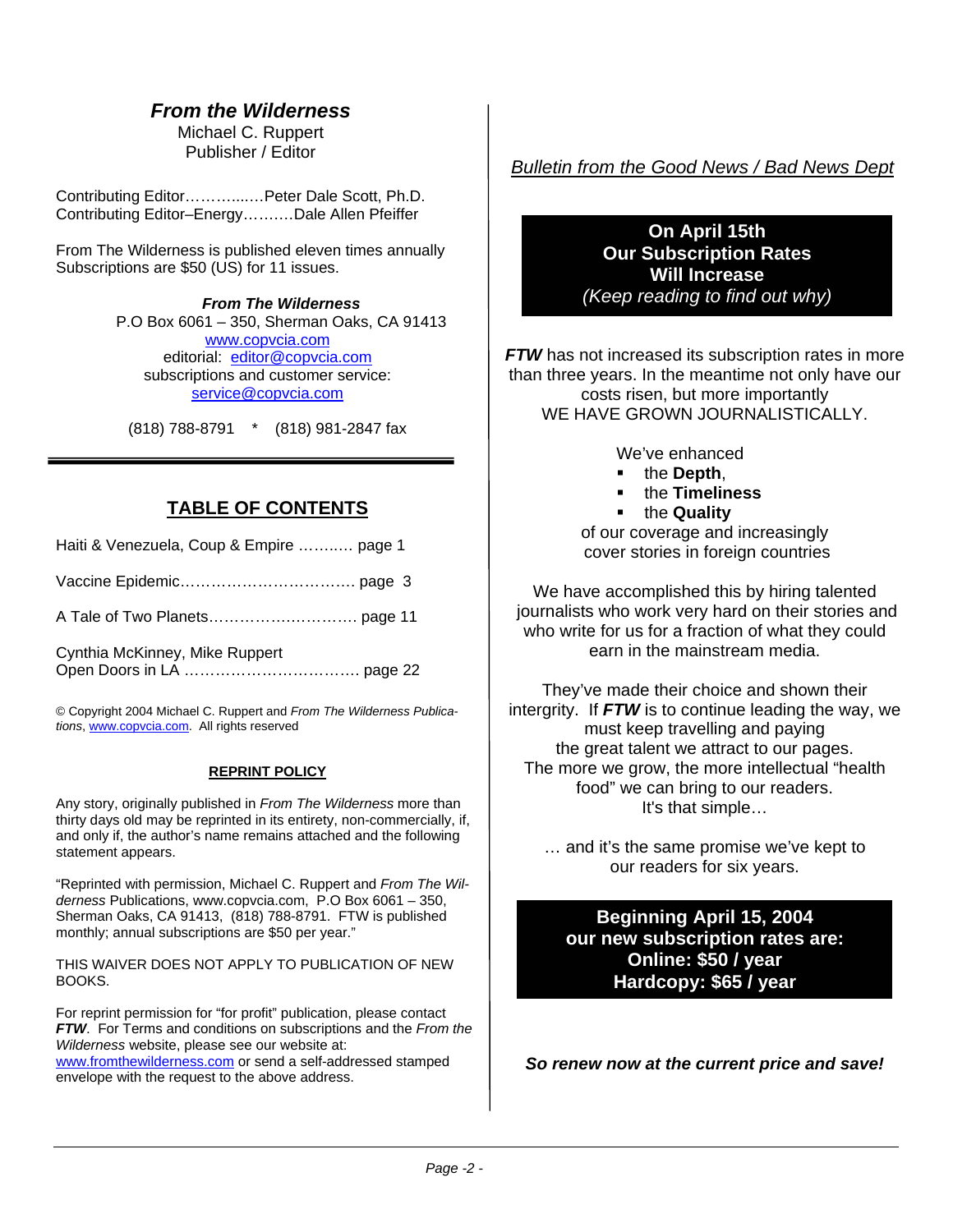#### *From the Wilderness*

Michael C. Ruppert Publisher / Editor

Contributing Editor………....…Peter Dale Scott, Ph.D. Contributing Editor–Energy…….…Dale Allen Pfeiffer

From The Wilderness is published eleven times annually Subscriptions are \$50 (US) for 11 issues.

> *From The Wilderness*  P.O Box 6061 – 350, Sherman Oaks, CA 91413 [www.copvcia.com](http://www.copvcia.com/) editorial: [editor@copvcia.com](mailto:editor@copvcia.com) subscriptions and customer service: [service@copvcia.com](mailto:service@copvcia.com)

(818) 788-8791 \* (818) 981-2847 fax

#### **TABLE OF CONTENTS**

| Haiti & Venezuela, Coup & Empire  page 1 |  |
|------------------------------------------|--|
|                                          |  |
|                                          |  |
| Cynthia McKinney, Mike Ruppert           |  |

© Copyright 2004 Michael C. Ruppert and *From The Wilderness Publications*, [www.copvcia.com](http://www.copvcia.com/). All rights reserved

#### **REPRINT POLICY**

Any story, originally published in *From The Wilderness* more than thirty days old may be reprinted in its entirety, non-commercially, if, and only if, the author's name remains attached and the following statement appears.

"Reprinted with permission, Michael C. Ruppert and *From The Wilderness* Publications, www.copvcia.com, P.O Box 6061 – 350, Sherman Oaks, CA 91413, (818) 788-8791. FTW is published monthly; annual subscriptions are \$50 per year."

THIS WAIVER DOES NOT APPLY TO PUBLICATION OF NEW BOOKS.

For reprint permission for "for profit" publication, please contact *FTW*. For Terms and conditions on subscriptions and the *From the Wilderness* website, please see our website at: [www.fromthewilderness.com](http://www.fromthewilderness.com/) or send a self-addressed stamped envelope with the request to the above address.

*Bulletin from the Good News / Bad News Dept*

#### **On April 15th Our Subscription Rates Will Increase** *(Keep reading to find out why)*

*FTW* has not increased its subscription rates in more than three years. In the meantime not only have our costs risen, but more importantly WE HAVE GROWN JOURNALISTICALLY.

We've enhanced

- the **Depth**,
- the **Timeliness**
- the **Quality**

of our coverage and increasingly cover stories in foreign countries

We have accomplished this by hiring talented journalists who work very hard on their stories and who write for us for a fraction of what they could earn in the mainstream media.

They've made their choice and shown their intergrity. If *FTW* is to continue leading the way, we must keep travelling and paying the great talent we attract to our pages. The more we grow, the more intellectual "health food" we can bring to our readers. It's that simple…

… and it's the same promise we've kept to our readers for six years.

**Beginning April 15, 2004 our new subscription rates are: Online: \$50 / year Hardcopy: \$65 / year** 

*So renew now at the current price and save!*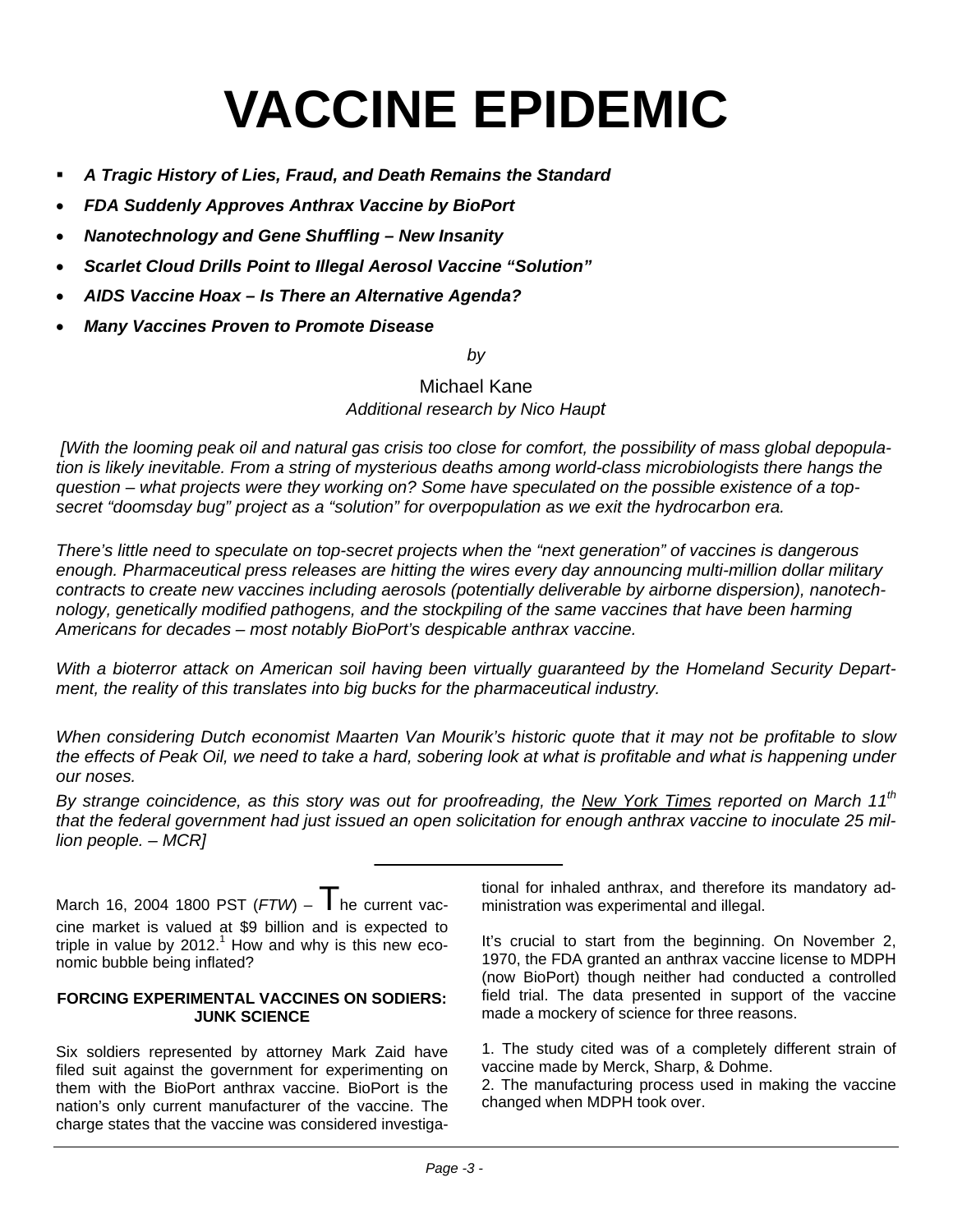# **VACCINE EPIDEMIC**

- *A Tragic History of Lies, Fraud, and Death Remains the Standard*
- *FDA Suddenly Approves Anthrax Vaccine by BioPort*
- *Nanotechnology and Gene Shuffling New Insanity*
- *Scarlet Cloud Drills Point to Illegal Aerosol Vaccine "Solution"*
- *AIDS Vaccine Hoax Is There an Alternative Agenda?*
- *Many Vaccines Proven to Promote Disease*

*by* 

Michael Kane *Additional research by Nico Haupt* 

 *[With the looming peak oil and natural gas crisis too close for comfort, the possibility of mass global depopulation is likely inevitable. From a string of mysterious deaths among world-class microbiologists there hangs the question – what projects were they working on? Some have speculated on the possible existence of a topsecret "doomsday bug" project as a "solution" for overpopulation as we exit the hydrocarbon era.* 

*There's little need to speculate on top-secret projects when the "next generation" of vaccines is dangerous enough. Pharmaceutical press releases are hitting the wires every day announcing multi-million dollar military contracts to create new vaccines including aerosols (potentially deliverable by airborne dispersion), nanotechnology, genetically modified pathogens, and the stockpiling of the same vaccines that have been harming Americans for decades – most notably BioPort's despicable anthrax vaccine.* 

*With a bioterror attack on American soil having been virtually guaranteed by the Homeland Security Department, the reality of this translates into big bucks for the pharmaceutical industry.* 

*When considering Dutch economist Maarten Van Mourik's historic quote that it may not be profitable to slow the effects of Peak Oil, we need to take a hard, sobering look at what is profitable and what is happening under our noses.* 

*By strange coincidence, as this story was out for proofreading, the New York Times reported on March 11th that the federal government had just issued an open solicitation for enough anthrax vaccine to inoculate 25 million people. – MCR]* 

March 16, 2004 1800 PST (*FTW*) – The current vaccine market is valued at \$9 billion and is expected to triple in value by  $2012<sup>1</sup>$  How and why is this new economic bubble being inflated?

#### **FORCING EXPERIMENTAL VACCINES ON SODIERS: JUNK SCIENCE**

Six soldiers represented by attorney Mark Zaid have filed suit against the government for experimenting on them with the BioPort anthrax vaccine. BioPort is the nation's only current manufacturer of the vaccine. The charge states that the vaccine was considered investigational for inhaled anthrax, and therefore its mandatory administration was experimental and illegal.

It's crucial to start from the beginning. On November 2, 1970, the FDA granted an anthrax vaccine license to MDPH (now BioPort) though neither had conducted a controlled field trial. The data presented in support of the vaccine made a mockery of science for three reasons.

1. The study cited was of a completely different strain of vaccine made by Merck, Sharp, & Dohme.

2. The manufacturing process used in making the vaccine changed when MDPH took over.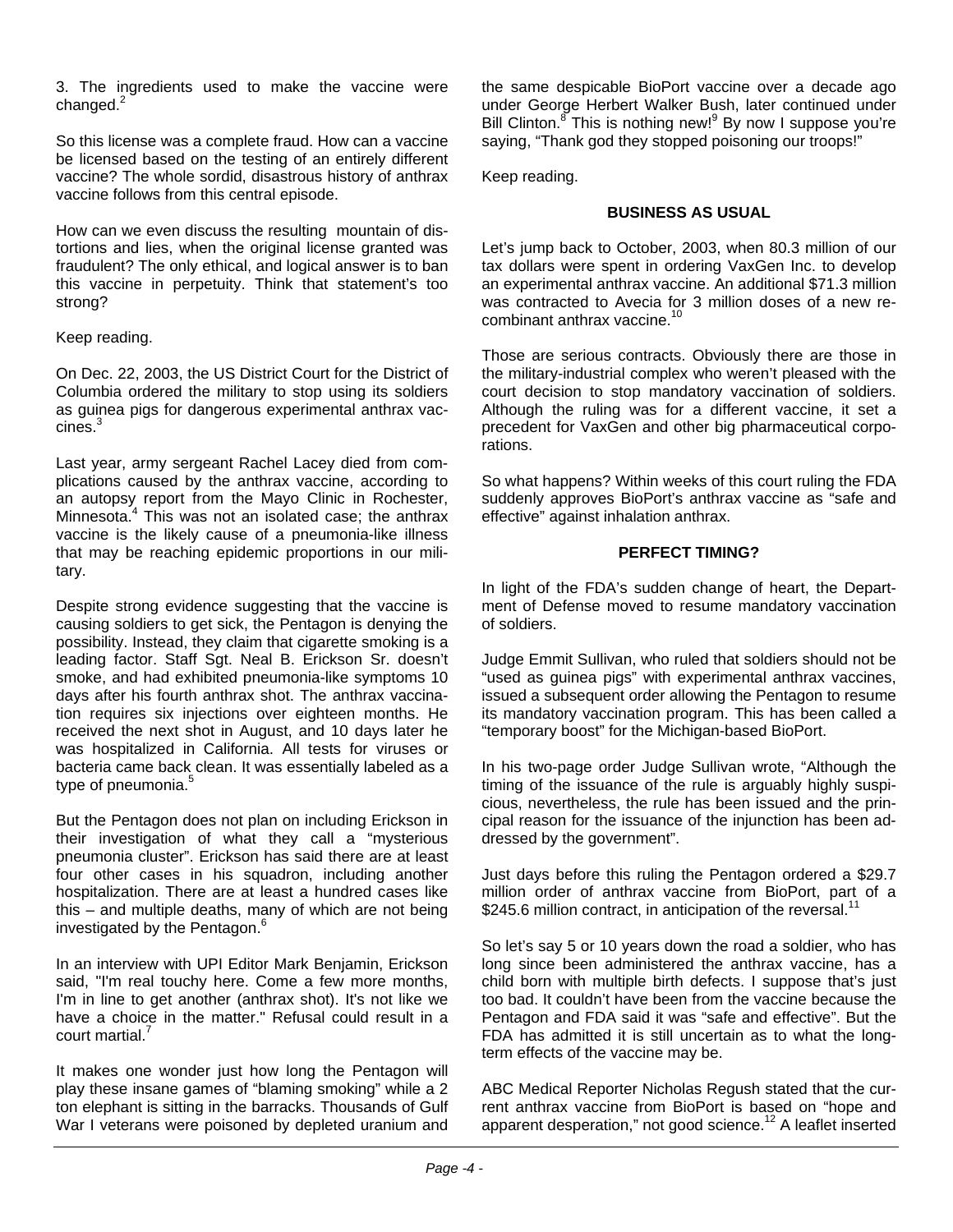3. The ingredients used to make the vaccine were changed. $^{2}$ 

So this license was a complete fraud. How can a vaccine be licensed based on the testing of an entirely different vaccine? The whole sordid, disastrous history of anthrax vaccine follows from this central episode.

How can we even discuss the resulting mountain of distortions and lies, when the original license granted was fraudulent? The only ethical, and logical answer is to ban this vaccine in perpetuity. Think that statement's too strong?

#### Keep reading.

On Dec. 22, 2003, the US District Court for the District of Columbia ordered the military to stop using its soldiers as guinea pigs for dangerous experimental anthrax vaccines.<sup>3</sup>

Last year, army sergeant Rachel Lacey died from complications caused by the anthrax vaccine, according to an autopsy report from the Mayo Clinic in Rochester, Minnesota.<sup>4</sup> This was not an isolated case; the anthrax vaccine is the likely cause of a pneumonia-like illness that may be reaching epidemic proportions in our military.

Despite strong evidence suggesting that the vaccine is causing soldiers to get sick, the Pentagon is denying the possibility. Instead, they claim that cigarette smoking is a leading factor. Staff Sgt. Neal B. Erickson Sr. doesn't smoke, and had exhibited pneumonia-like symptoms 10 days after his fourth anthrax shot. The anthrax vaccination requires six injections over eighteen months. He received the next shot in August, and 10 days later he was hospitalized in California. All tests for viruses or bacteria came back clean. It was essentially labeled as a type of pneumonia.<sup>5</sup>

investigated by the Pentagon.<sup>6</sup> But the Pentagon does not plan on including Erickson in their investigation of what they call a "mysterious pneumonia cluster". Erickson has said there are at least four other cases in his squadron, including another hospitalization. There are at least a hundred cases like this – and multiple deaths, many of which are not being

In an interview with UPI Editor Mark Benjamin, Erickson said, "I'm real touchy here. Come a few more months, I'm in line to get another (anthrax shot). It's not like we have a choice in the matter." Refusal could result in a court martial.

It makes one wonder just how long the Pentagon will play these insane games of "blaming smoking" while a 2 ton elephant is sitting in the barracks. Thousands of Gulf War I veterans were poisoned by depleted uranium and the same despicable BioPort vaccine over a decade ago under George Herbert Walker Bush, later continued under Bill Clinton.<sup>8</sup> This is nothing new!<sup>9</sup> By now I suppose you're saying, "Thank god they stopped poisoning our troops!"

Keep reading.

#### **BUSINESS AS USUAL**

Let's jump back to October, 2003, when 80.3 million of our tax dollars were spent in ordering VaxGen Inc. to develop an experimental anthrax vaccine. An additional \$71.3 million was contracted to Avecia for 3 million doses of a new recombinant anthrax vaccine.<sup>10</sup>

Those are serious contracts. Obviously there are those in the military-industrial complex who weren't pleased with the court decision to stop mandatory vaccination of soldiers. Although the ruling was for a different vaccine, it set a precedent for VaxGen and other big pharmaceutical corporations.

So what happens? Within weeks of this court ruling the FDA suddenly approves BioPort's anthrax vaccine as "safe and effective" against inhalation anthrax.

#### **PERFECT TIMING?**

In light of the FDA's sudden change of heart, the Department of Defense moved to resume mandatory vaccination of soldiers.

Judge Emmit Sullivan, who ruled that soldiers should not be "used as guinea pigs" with experimental anthrax vaccines, issued a subsequent order allowing the Pentagon to resume its mandatory vaccination program. This has been called a "temporary boost" for the Michigan-based BioPort.

In his two-page order Judge Sullivan wrote, "Although the timing of the issuance of the rule is arguably highly suspicious, nevertheless, the rule has been issued and the principal reason for the issuance of the injunction has been addressed by the government".

Just days before this ruling the Pentagon ordered a \$29.7 million order of anthrax vaccine from BioPort, part of a \$245.6 million contract, in anticipation of the reversal.<sup>11</sup>

So let's say 5 or 10 years down the road a soldier, who has long since been administered the anthrax vaccine, has a child born with multiple birth defects. I suppose that's just too bad. It couldn't have been from the vaccine because the Pentagon and FDA said it was "safe and effective". But the FDA has admitted it is still uncertain as to what the longterm effects of the vaccine may be.

ABC Medical Reporter Nicholas Regush stated that the current anthrax vaccine from BioPort is based on "hope and apparent desperation," not good science.<sup>12</sup> A leaflet inserted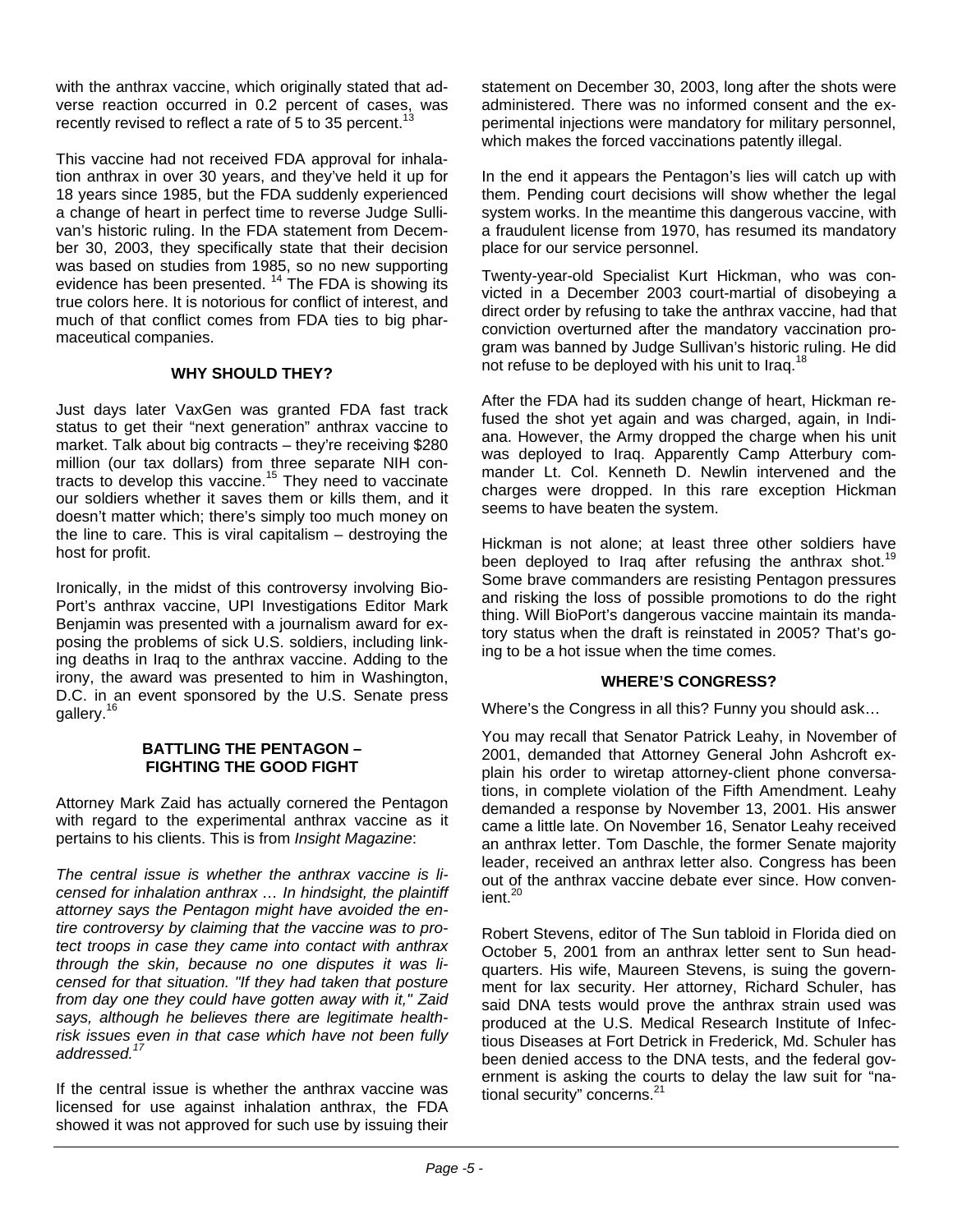with the anthrax vaccine, which originally stated that adverse reaction occurred in 0.2 percent of cases, was recently revised to reflect a rate of 5 to 35 percent.<sup>13</sup>

This vaccine had not received FDA approval for inhalation anthrax in over 30 years, and they've held it up for 18 years since 1985, but the FDA suddenly experienced a change of heart in perfect time to reverse Judge Sullivan's historic ruling. In the FDA statement from December 30, 2003, they specifically state that their decision was based on studies from 1985, so no new supporting evidence has been presented.<sup>14</sup> The FDA is showing its true colors here. It is notorious for conflict of interest, and much of that conflict comes from FDA ties to big pharmaceutical companies.

#### **WHY SHOULD THEY?**

Just days later VaxGen was granted FDA fast track status to get their "next generation" anthrax vaccine to market. Talk about big contracts – they're receiving \$280 million (our tax dollars) from three separate NIH contracts to develop this vaccine.<sup>15</sup> They need to vaccinate our soldiers whether it saves them or kills them, and it doesn't matter which; there's simply too much money on the line to care. This is viral capitalism – destroying the host for profit.

Ironically, in the midst of this controversy involving Bio-Port's anthrax vaccine, UPI Investigations Editor Mark Benjamin was presented with a journalism award for exposing the problems of sick U.S. soldiers, including linking deaths in Iraq to the anthrax vaccine. Adding to the irony, the award was presented to him in Washington, D.C. in an event sponsored by the U.S. Senate press gallery.<sup>16</sup>

#### **BATTLING THE PENTAGON – FIGHTING THE GOOD FIGHT**

Attorney Mark Zaid has actually cornered the Pentagon with regard to the experimental anthrax vaccine as it pertains to his clients. This is from *Insight Magazine*:

*The central issue is whether the anthrax vaccine is licensed for inhalation anthrax … In hindsight, the plaintiff attorney says the Pentagon might have avoided the entire controversy by claiming that the vaccine was to protect troops in case they came into contact with anthrax through the skin, because no one disputes it was licensed for that situation. "If they had taken that posture from day one they could have gotten away with it," Zaid says, although he believes there are legitimate healthrisk issues even in that case which have not been fully addressed.17*

If the central issue is whether the anthrax vaccine was licensed for use against inhalation anthrax, the FDA showed it was not approved for such use by issuing their statement on December 30, 2003, long after the shots were administered. There was no informed consent and the experimental injections were mandatory for military personnel, which makes the forced vaccinations patently illegal.

In the end it appears the Pentagon's lies will catch up with them. Pending court decisions will show whether the legal system works. In the meantime this dangerous vaccine, with a fraudulent license from 1970, has resumed its mandatory place for our service personnel.

Twenty-year-old Specialist Kurt Hickman, who was convicted in a December 2003 court-martial of disobeying a direct order by refusing to take the anthrax vaccine, had that conviction overturned after the mandatory vaccination program was banned by Judge Sullivan's historic ruling. He did not refuse to be deployed with his unit to Iraq.<sup>18</sup>

After the FDA had its sudden change of heart, Hickman refused the shot yet again and was charged, again, in Indiana. However, the Army dropped the charge when his unit was deployed to Iraq. Apparently Camp Atterbury commander Lt. Col. Kenneth D. Newlin intervened and the charges were dropped. In this rare exception Hickman seems to have beaten the system.

Hickman is not alone; at least three other soldiers have been deployed to Iraq after refusing the anthrax shot.<sup>19</sup> Some brave commanders are resisting Pentagon pressures and risking the loss of possible promotions to do the right thing. Will BioPort's dangerous vaccine maintain its mandatory status when the draft is reinstated in 2005? That's going to be a hot issue when the time comes.

#### **WHERE'S CONGRESS?**

Where's the Congress in all this? Funny you should ask…

You may recall that Senator Patrick Leahy, in November of 2001, demanded that Attorney General John Ashcroft explain his order to wiretap attorney-client phone conversations, in complete violation of the Fifth Amendment. Leahy demanded a response by November 13, 2001. His answer came a little late. On November 16, Senator Leahy received an anthrax letter. Tom Daschle, the former Senate majority leader, received an anthrax letter also. Congress has been out of the anthrax vaccine debate ever since. How conven $i$ ent $20$ 

Robert Stevens, editor of The Sun tabloid in Florida died on October 5, 2001 from an anthrax letter sent to Sun headquarters. His wife, Maureen Stevens, is suing the government for lax security. Her attorney, Richard Schuler, has said DNA tests would prove the anthrax strain used was produced at the U.S. Medical Research Institute of Infectious Diseases at Fort Detrick in Frederick, Md. Schuler has been denied access to the DNA tests, and the federal government is asking the courts to delay the law suit for "national security" concerns.<sup>21</sup>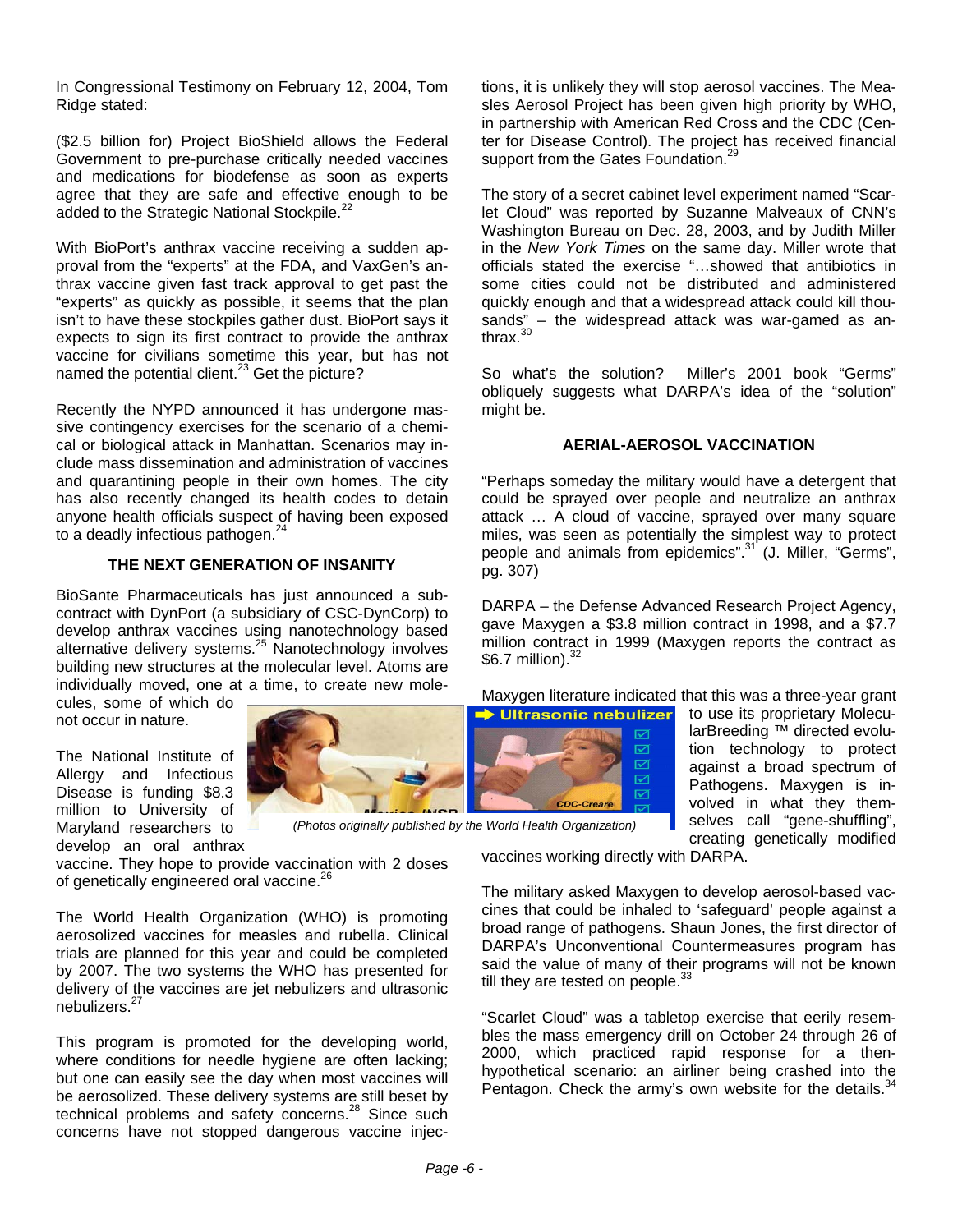In Congressional Testimony on February 12, 2004, Tom Ridge stated:

(\$2.5 billion for) Project BioShield allows the Federal Government to pre-purchase critically needed vaccines and medications for biodefense as soon as experts agree that they are safe and effective enough to be added to the Strategic National Stockpile.<sup>22</sup>

With BioPort's anthrax vaccine receiving a sudden approval from the "experts" at the FDA, and VaxGen's anthrax vaccine given fast track approval to get past the "experts" as quickly as possible, it seems that the plan isn't to have these stockpiles gather dust. BioPort says it expects to sign its first contract to provide the anthrax vaccine for civilians sometime this year, but has not named the potential client.<sup>23</sup> Get the picture?

Recently the NYPD announced it has undergone massive contingency exercises for the scenario of a chemical or biological attack in Manhattan. Scenarios may include mass dissemination and administration of vaccines and quarantining people in their own homes. The city has also recently changed its health codes to detain anyone health officials suspect of having been exposed to a deadly infectious pathogen.<sup>2</sup>

#### **THE NEXT GENERATION OF INSANITY**

BioSante Pharmaceuticals has just announced a subcontract with DynPort (a subsidiary of CSC-DynCorp) to develop anthrax vaccines using nanotechnology based alternative delivery systems.<sup>25</sup> Nanotechnology involves building new structures at the molecular level. Atoms are individually moved, one at a time, to create new mole-

cules, some of which do not occur in nature.

The National Institute of Allergy and Infectious Disease is funding \$8.3 million to University of Maryland researchers to develop an oral anthrax

vaccine. They hope to provide vaccination with 2 doses of genetically engineered oral vaccine.<sup>26</sup>

The World Health Organization (WHO) is promoting aerosolized vaccines for measles and rubella. Clinical trials are planned for this year and could be completed by 2007. The two systems the WHO has presented for delivery of the vaccines are jet nebulizers and ultrasonic nebulizers.<sup>27</sup>

This program is promoted for the developing world, where conditions for needle hygiene are often lacking; but one can easily see the day when most vaccines will be aerosolized. These delivery systems are still beset by technical problems and safety concerns.<sup>28</sup> Since such concerns have not stopped dangerous vaccine injections, it is unlikely they will stop aerosol vaccines. The Measles Aerosol Project has been given high priority by WHO, in partnership with American Red Cross and the CDC (Center for Disease Control). The project has received financial support from the Gates Foundation.<sup>2</sup>

The story of a secret cabinet level experiment named "Scarlet Cloud" was reported by Suzanne Malveaux of CNN's Washington Bureau on Dec. 28, 2003, and by Judith Miller in the *New York Times* on the same day. Miller wrote that officials stated the exercise "…showed that antibiotics in some cities could not be distributed and administered quickly enough and that a widespread attack could kill thousands" – the widespread attack was war-gamed as anthrax. $30$ 

So what's the solution? Miller's 2001 book "Germs" obliquely suggests what DARPA's idea of the "solution" might be.

#### **AERIAL-AEROSOL VACCINATION**

"Perhaps someday the military would have a detergent that could be sprayed over people and neutralize an anthrax attack … A cloud of vaccine, sprayed over many square miles, was seen as potentially the simplest way to protect people and animals from epidemics".<sup>31</sup> (J. Miller, "Germs", pg. 307)

DARPA – the Defense Advanced Research Project Agency, gave Maxygen a \$3.8 million contract in 1998, and a \$7.7 million contract in 1999 (Maxygen reports the contract as  $$6.7$  million). $^{32}$ 

Maxygen literature indicated that this was a three-year grant



to use its proprietary MolecularBreeding ™ directed evolution technology to protect against a broad spectrum of Pathogens. Maxygen is involved in what they themselves call "gene-shuffling", creating genetically modified

vaccines working directly with DARPA.

 $\boxtimes$ ☑

The military asked Maxygen to develop aerosol-based vaccines that could be inhaled to 'safeguard' people against a broad range of pathogens. Shaun Jones, the first director of DARPA's Unconventional Countermeasures program has said the value of many of their programs will not be known till they are tested on people. $33$ 

"Scarlet Cloud" was a tabletop exercise that eerily resembles the mass emergency drill on October 24 through 26 of 2000, which practiced rapid response for a thenhypothetical scenario: an airliner being crashed into the Pentagon. Check the army's own website for the details.  $34$ 



*(Photos originally published by the World Health Organization)*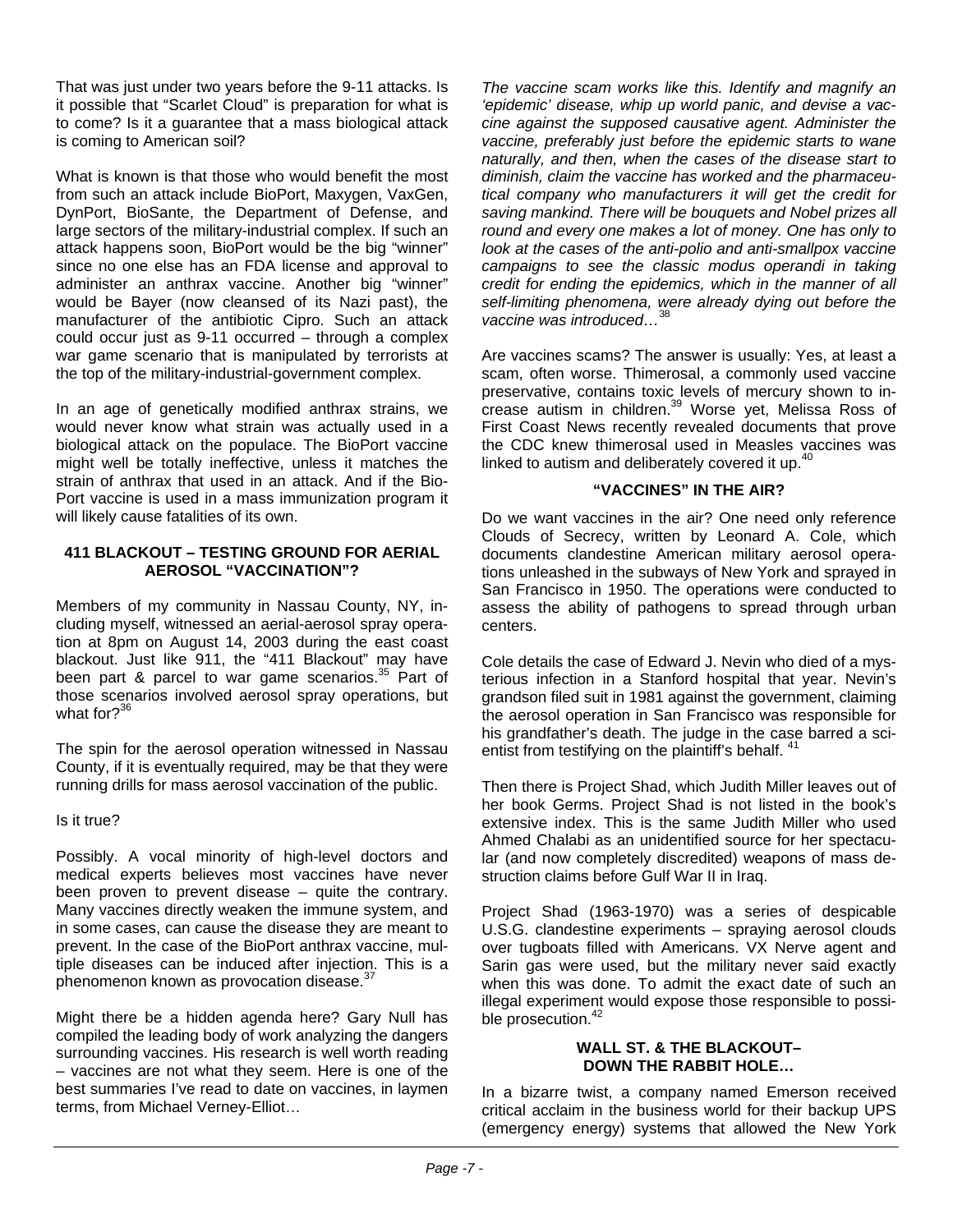That was just under two years before the 9-11 attacks. Is it possible that "Scarlet Cloud" is preparation for what is to come? Is it a guarantee that a mass biological attack is coming to American soil?

What is known is that those who would benefit the most from such an attack include BioPort, Maxygen, VaxGen, DynPort, BioSante, the Department of Defense, and large sectors of the military-industrial complex. If such an attack happens soon, BioPort would be the big "winner" since no one else has an FDA license and approval to administer an anthrax vaccine. Another big "winner" would be Bayer (now cleansed of its Nazi past), the manufacturer of the antibiotic Cipro. Such an attack could occur just as 9-11 occurred – through a complex war game scenario that is manipulated by terrorists at the top of the military-industrial-government complex.

In an age of genetically modified anthrax strains, we would never know what strain was actually used in a biological attack on the populace. The BioPort vaccine might well be totally ineffective, unless it matches the strain of anthrax that used in an attack. And if the Bio-Port vaccine is used in a mass immunization program it will likely cause fatalities of its own.

#### **411 BLACKOUT – TESTING GROUND FOR AERIAL AEROSOL "VACCINATION"?**

Members of my community in Nassau County, NY, including myself, witnessed an aerial-aerosol spray operation at 8pm on August 14, 2003 during the east coast blackout. Just like 911, the "411 Blackout" may have been part & parcel to war game scenarios.<sup>35</sup> Part of those scenarios involved aerosol spray operations, but what for?<sup>36</sup>

The spin for the aerosol operation witnessed in Nassau County, if it is eventually required, may be that they were running drills for mass aerosol vaccination of the public.

Is it true?

Possibly. A vocal minority of high-level doctors and medical experts believes most vaccines have never been proven to prevent disease – quite the contrary. Many vaccines directly weaken the immune system, and in some cases, can cause the disease they are meant to prevent. In the case of the BioPort anthrax vaccine, multiple diseases can be induced after injection. This is a phenomenon known as provocation disease.<sup>37</sup>

Might there be a hidden agenda here? Gary Null has compiled the leading body of work analyzing the dangers surrounding vaccines. His research is well worth reading – vaccines are not what they seem. Here is one of the best summaries I've read to date on vaccines, in laymen terms, from Michael Verney-Elliot…

*The vaccine scam works like this. Identify and magnify an 'epidemic' disease, whip up world panic, and devise a vaccine against the supposed causative agent. Administer the vaccine, preferably just before the epidemic starts to wane naturally, and then, when the cases of the disease start to diminish, claim the vaccine has worked and the pharmaceutical company who manufacturers it will get the credit for saving mankind. There will be bouquets and Nobel prizes all round and every one makes a lot of money. One has only to look at the cases of the anti-polio and anti-smallpox vaccine campaigns to see the classic modus operandi in taking credit for ending the epidemics, which in the manner of all self-limiting phenomena, were already dying out before the vaccine was introduced…*<sup>38</sup>

Are vaccines scams? The answer is usually: Yes, at least a scam, often worse. Thimerosal, a commonly used vaccine preservative, contains toxic levels of mercury shown to increase autism in children.39 Worse yet, Melissa Ross of First Coast News recently revealed documents that prove the CDC knew thimerosal used in Measles vaccines was linked to autism and deliberately covered it up. $40$ 

#### **"VACCINES" IN THE AIR?**

Do we want vaccines in the air? One need only reference Clouds of Secrecy, written by Leonard A. Cole, which documents clandestine American military aerosol operations unleashed in the subways of New York and sprayed in San Francisco in 1950. The operations were conducted to assess the ability of pathogens to spread through urban centers.

Cole details the case of Edward J. Nevin who died of a mysterious infection in a Stanford hospital that year. Nevin's grandson filed suit in 1981 against the government, claiming the aerosol operation in San Francisco was responsible for his grandfather's death. The judge in the case barred a scientist from testifying on the plaintiff's behalf.  $41$ 

Then there is Project Shad, which Judith Miller leaves out of her book Germs. Project Shad is not listed in the book's extensive index. This is the same Judith Miller who used Ahmed Chalabi as an unidentified source for her spectacular (and now completely discredited) weapons of mass destruction claims before Gulf War II in Iraq.

Project Shad (1963-1970) was a series of despicable U.S.G. clandestine experiments – spraying aerosol clouds over tugboats filled with Americans. VX Nerve agent and Sarin gas were used, but the military never said exactly when this was done. To admit the exact date of such an illegal experiment would expose those responsible to possible prosecution.<sup>42</sup>

#### **WALL ST. & THE BLACKOUT– DOWN THE RABBIT HOLE…**

In a bizarre twist, a company named Emerson received critical acclaim in the business world for their backup UPS (emergency energy) systems that allowed the New York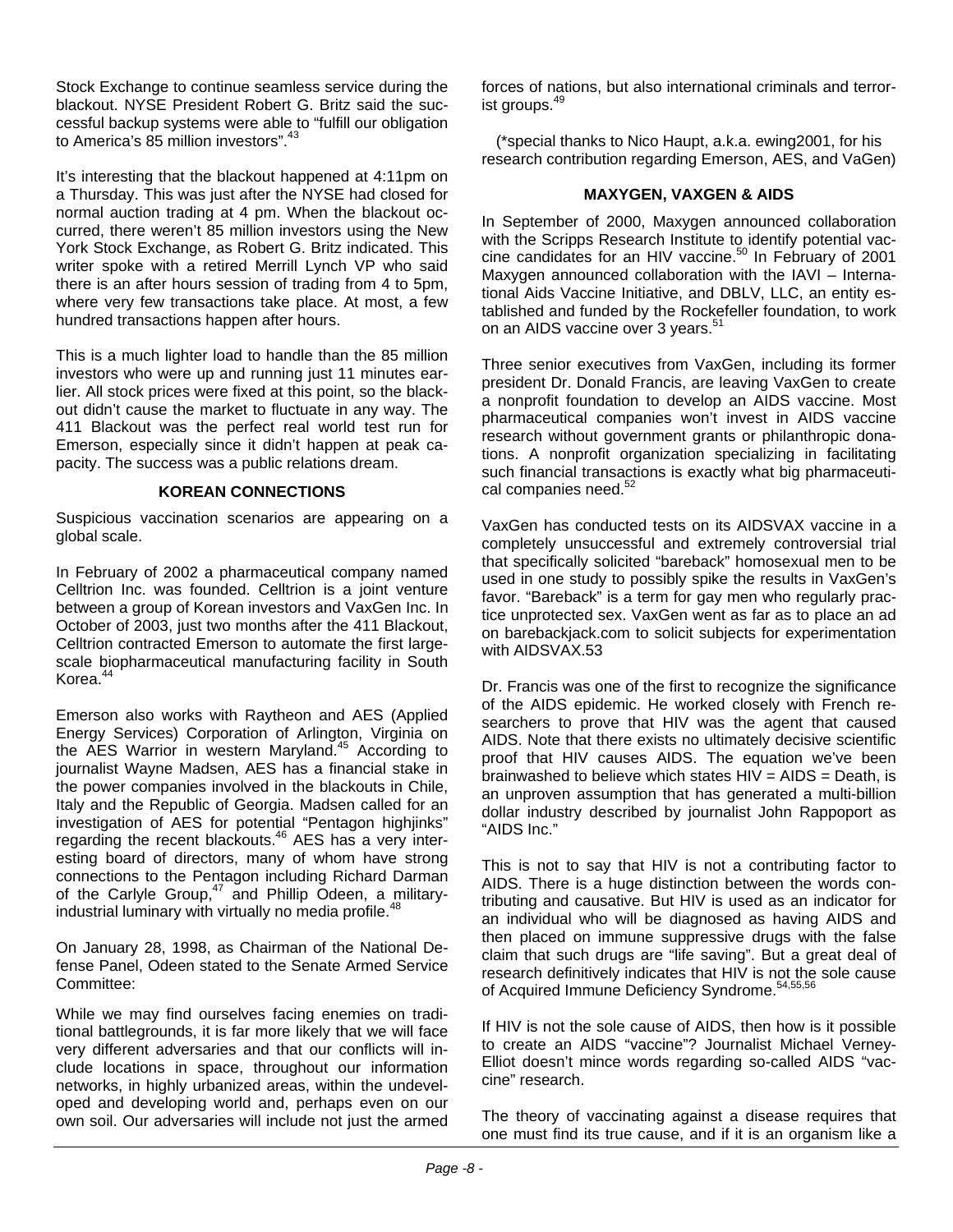Stock Exchange to continue seamless service during the blackout. NYSE President Robert G. Britz said the successful backup systems were able to "fulfill our obligation to America's 85 million investors".<sup>43</sup>

It's interesting that the blackout happened at 4:11pm on a Thursday. This was just after the NYSE had closed for normal auction trading at 4 pm. When the blackout occurred, there weren't 85 million investors using the New York Stock Exchange, as Robert G. Britz indicated. This writer spoke with a retired Merrill Lynch VP who said there is an after hours session of trading from 4 to 5pm, where very few transactions take place. At most, a few hundred transactions happen after hours.

This is a much lighter load to handle than the 85 million investors who were up and running just 11 minutes earlier. All stock prices were fixed at this point, so the blackout didn't cause the market to fluctuate in any way. The 411 Blackout was the perfect real world test run for Emerson, especially since it didn't happen at peak capacity. The success was a public relations dream.

#### **KOREAN CONNECTIONS**

Suspicious vaccination scenarios are appearing on a global scale.

In February of 2002 a pharmaceutical company named Celltrion Inc. was founded. Celltrion is a joint venture between a group of Korean investors and VaxGen Inc. In October of 2003, just two months after the 411 Blackout, Celltrion contracted Emerson to automate the first largescale biopharmaceutical manufacturing facility in South Korea.44

Emerson also works with Raytheon and AES (Applied Energy Services) Corporation of Arlington, Virginia on the AES Warrior in western Maryland.<sup>45</sup> According to journalist Wayne Madsen, AES has a financial stake in the power companies involved in the blackouts in Chile, Italy and the Republic of Georgia. Madsen called for an investigation of AES for potential "Pentagon highjinks" regarding the recent blackouts.<sup>46</sup> AES has a very interesting board of directors, many of whom have strong connections to the Pentagon including Richard Darman of the Carlyle Group, $47$  and Phillip Odeen, a militaryindustrial luminary with virtually no media profile.<sup>48</sup>

On January 28, 1998, as Chairman of the National Defense Panel, Odeen stated to the Senate Armed Service Committee:

While we may find ourselves facing enemies on traditional battlegrounds, it is far more likely that we will face very different adversaries and that our conflicts will include locations in space, throughout our information networks, in highly urbanized areas, within the undeveloped and developing world and, perhaps even on our own soil. Our adversaries will include not just the armed

forces of nations, but also international criminals and terrorist groups.<sup>49</sup>

(\*special thanks to Nico Haupt, a.k.a. ewing2001, for his research contribution regarding Emerson, AES, and VaGen)

#### **MAXYGEN, VAXGEN & AIDS**

In September of 2000, Maxygen announced collaboration with the Scripps Research Institute to identify potential vaccine candidates for an HIV vaccine.<sup>50</sup> In February of 2001 Maxygen announced collaboration with the IAVI – International Aids Vaccine Initiative, and DBLV, LLC, an entity established and funded by the Rockefeller foundation, to work on an AIDS vaccine over 3 years.<sup>51</sup>

Three senior executives from VaxGen, including its former president Dr. Donald Francis, are leaving VaxGen to create a nonprofit foundation to develop an AIDS vaccine. Most pharmaceutical companies won't invest in AIDS vaccine research without government grants or philanthropic donations. A nonprofit organization specializing in facilitating such financial transactions is exactly what big pharmaceutical companies need.<sup>52</sup>

VaxGen has conducted tests on its AIDSVAX vaccine in a completely unsuccessful and extremely controversial trial that specifically solicited "bareback" homosexual men to be used in one study to possibly spike the results in VaxGen's favor. "Bareback" is a term for gay men who regularly practice unprotected sex. VaxGen went as far as to place an ad on barebackjack.com to solicit subjects for experimentation with AIDSVAX.53

Dr. Francis was one of the first to recognize the significance of the AIDS epidemic. He worked closely with French researchers to prove that HIV was the agent that caused AIDS. Note that there exists no ultimately decisive scientific proof that HIV causes AIDS. The equation we've been brainwashed to believe which states HIV = AIDS = Death, is an unproven assumption that has generated a multi-billion dollar industry described by journalist John Rappoport as "AIDS Inc."

This is not to say that HIV is not a contributing factor to AIDS. There is a huge distinction between the words contributing and causative. But HIV is used as an indicator for an individual who will be diagnosed as having AIDS and then placed on immune suppressive drugs with the false claim that such drugs are "life saving". But a great deal of research definitively indicates that HIV is not the sole cause of Acquired Immune Deficiency Syndrome.<sup>54,55,56</sup>

If HIV is not the sole cause of AIDS, then how is it possible to create an AIDS "vaccine"? Journalist Michael Verney-Elliot doesn't mince words regarding so-called AIDS "vaccine" research.

The theory of vaccinating against a disease requires that one must find its true cause, and if it is an organism like a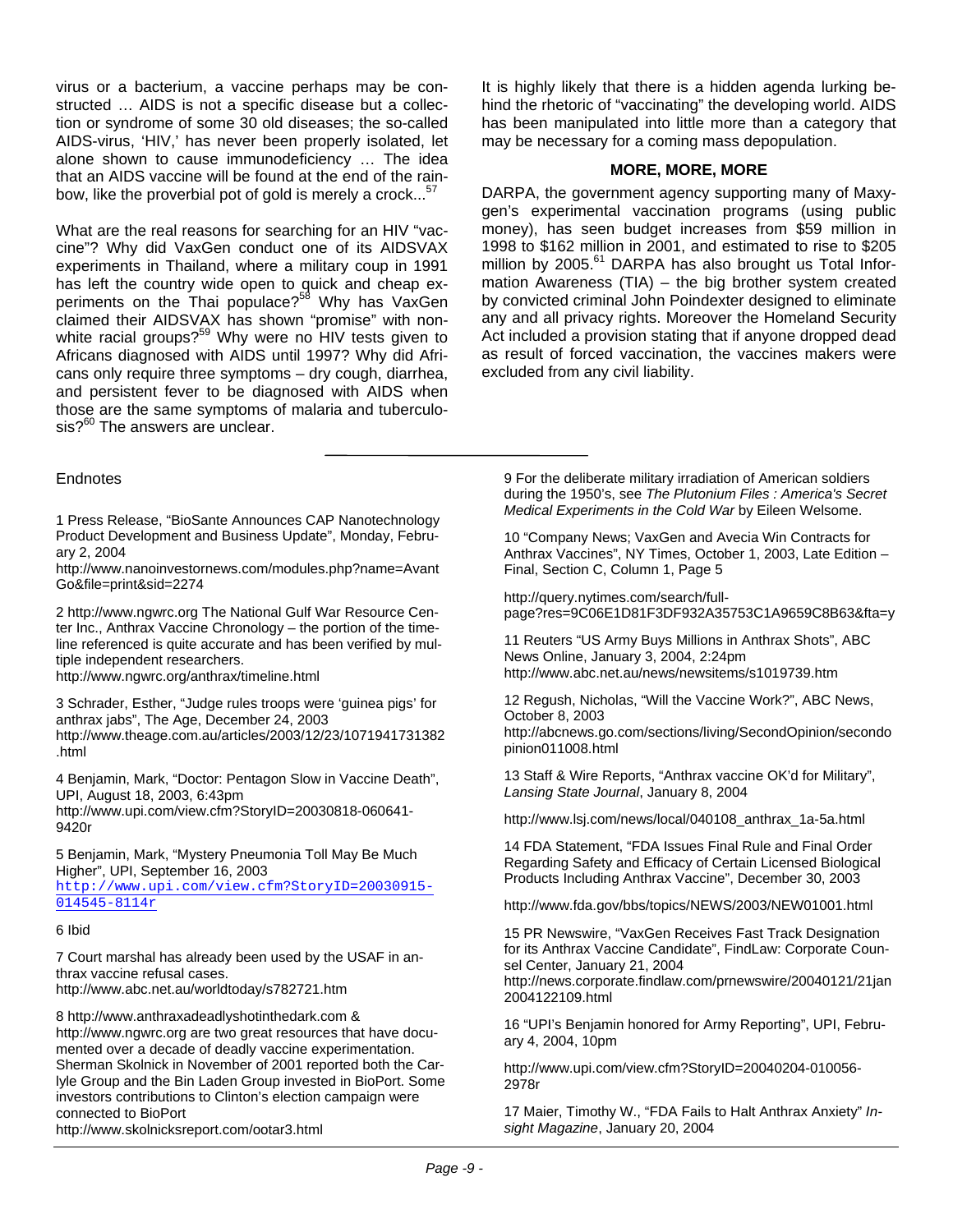virus or a bacterium, a vaccine perhaps may be constructed … AIDS is not a specific disease but a collection or syndrome of some 30 old diseases; the so-called AIDS-virus, 'HIV,' has never been properly isolated, let alone shown to cause immunodeficiency … The idea that an AIDS vaccine will be found at the end of the rainbow, like the proverbial pot of gold is merely a crock...<sup>57</sup>

What are the real reasons for searching for an HIV "vaccine"? Why did VaxGen conduct one of its AIDSVAX experiments in Thailand, where a military coup in 1991 has left the country wide open to quick and cheap experiments on the Thai populace?<sup>58</sup> Why has VaxGen claimed their AIDSVAX has shown "promise" with nonwhite racial groups?<sup>59</sup> Why were no HIV tests given to Africans diagnosed with AIDS until 1997? Why did Africans only require three symptoms – dry cough, diarrhea, and persistent fever to be diagnosed with AIDS when those are the same symptoms of malaria and tuberculosis?<sup>60</sup> The answers are unclear.

It is highly likely that there is a hidden agenda lurking behind the rhetoric of "vaccinating" the developing world. AIDS has been manipulated into little more than a category that may be necessary for a coming mass depopulation.

#### **MORE, MORE, MORE**

DARPA, the government agency supporting many of Maxygen's experimental vaccination programs (using public money), has seen budget increases from \$59 million in 1998 to \$162 million in 2001, and estimated to rise to \$205 million by 2005.<sup>61</sup> DARPA has also brought us Total Information Awareness (TIA) – the big brother system created by convicted criminal John Poindexter designed to eliminate any and all privacy rights. Moreover the Homeland Security Act included a provision stating that if anyone dropped dead as result of forced vaccination, the vaccines makers were excluded from any civil liability.

#### **Endnotes**

1 Press Release, "BioSante Announces CAP Nanotechnology Product Development and Business Update", Monday, February 2, 2004

http://www.nanoinvestornews.com/modules.php?name=Avant Go&file=print&sid=2274

2 http://www.ngwrc.org The National Gulf War Resource Center Inc., Anthrax Vaccine Chronology – the portion of the timeline referenced is quite accurate and has been verified by multiple independent researchers.

http://www.ngwrc.org/anthrax/timeline.html

3 Schrader, Esther, "Judge rules troops were 'guinea pigs' for anthrax jabs", The Age, December 24, 2003 http://www.theage.com.au/articles/2003/12/23/1071941731382 .html

4 Benjamin, Mark, "Doctor: Pentagon Slow in Vaccine Death", UPI, August 18, 2003, 6:43pm

http://www.upi.com/view.cfm?StoryID=20030818-060641- 9420r

5 Benjamin, Mark, "Mystery Pneumonia Toll May Be Much Higher", UPI, September 16, 2003

[http://www.upi.com/view.cfm?StoryID=20030915-](http://www.upi.com/view.cfm?StoryID=20030915-014545-8114r) [014545-8114r](http://www.upi.com/view.cfm?StoryID=20030915-014545-8114r)

#### 6 Ibid

7 Court marshal has already been used by the USAF in anthrax vaccine refusal cases. http://www.abc.net.au/worldtoday/s782721.htm

8 http://www.anthraxadeadlyshotinthedark.com & http://www.ngwrc.org are two great resources that have documented over a decade of deadly vaccine experimentation. Sherman Skolnick in November of 2001 reported both the Carlyle Group and the Bin Laden Group invested in BioPort. Some investors contributions to Clinton's election campaign were connected to BioPort

http://www.skolnicksreport.com/ootar3.html

9 For the deliberate military irradiation of American soldiers during the 1950's, see *The Plutonium Files : America's Secret Medical Experiments in the Cold War* by Eileen Welsome.

10 "Company News; VaxGen and Avecia Win Contracts for Anthrax Vaccines", NY Times, October 1, 2003, Late Edition – Final, Section C, Column 1, Page 5

http://query.nytimes.com/search/fullpage?res=9C06E1D81F3DF932A35753C1A9659C8B63&fta=y

11 Reuters "US Army Buys Millions in Anthrax Shots", ABC News Online, January 3, 2004, 2:24pm http://www.abc.net.au/news/newsitems/s1019739.htm

12 Regush, Nicholas, "Will the Vaccine Work?", ABC News, October 8, 2003

http://abcnews.go.com/sections/living/SecondOpinion/secondo pinion011008.html

13 Staff & Wire Reports, "Anthrax vaccine OK'd for Military", *Lansing State Journal*, January 8, 2004

http://www.lsj.com/news/local/040108\_anthrax\_1a-5a.html

14 FDA Statement, "FDA Issues Final Rule and Final Order Regarding Safety and Efficacy of Certain Licensed Biological Products Including Anthrax Vaccine", December 30, 2003

http://www.fda.gov/bbs/topics/NEWS/2003/NEW01001.html

15 PR Newswire, "VaxGen Receives Fast Track Designation for its Anthrax Vaccine Candidate", FindLaw: Corporate Counsel Center, January 21, 2004

http://news.corporate.findlaw.com/prnewswire/20040121/21jan 2004122109.html

16 "UPI's Benjamin honored for Army Reporting", UPI, February 4, 2004, 10pm

http://www.upi.com/view.cfm?StoryID=20040204-010056- 2978r

17 Maier, Timothy W., "FDA Fails to Halt Anthrax Anxiety" *Insight Magazine*, January 20, 2004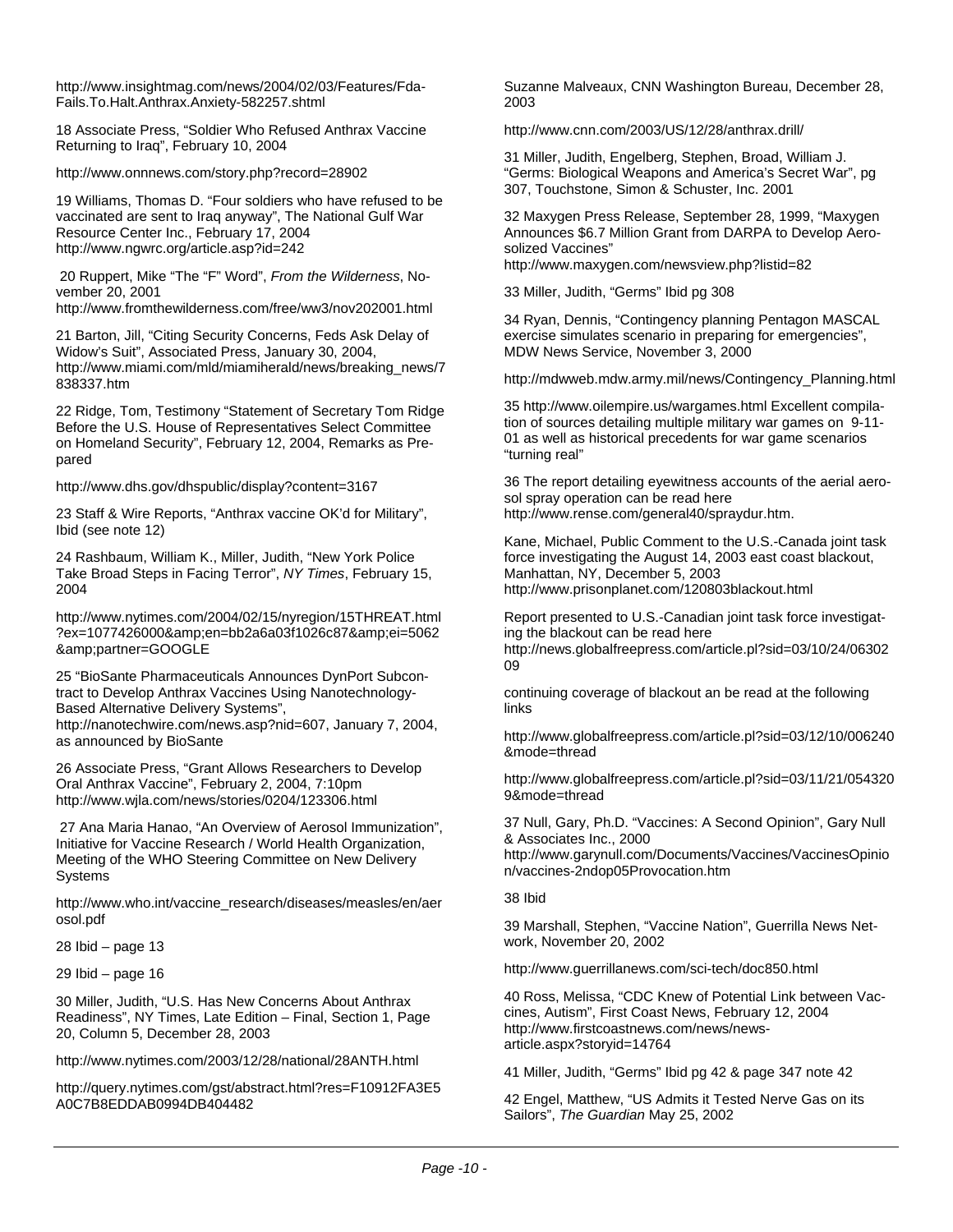http://www.insightmag.com/news/2004/02/03/Features/Fda-Fails.To.Halt.Anthrax.Anxiety-582257.shtml

18 Associate Press, "Soldier Who Refused Anthrax Vaccine Returning to Iraq", February 10, 2004

http://www.onnnews.com/story.php?record=28902

19 Williams, Thomas D. "Four soldiers who have refused to be vaccinated are sent to Iraq anyway", The National Gulf War Resource Center Inc., February 17, 2004 http://www.ngwrc.org/article.asp?id=242

 20 Ruppert, Mike "The "F" Word", *From the Wilderness*, November 20, 2001

http://www.fromthewilderness.com/free/ww3/nov202001.html

21 Barton, Jill, "Citing Security Concerns, Feds Ask Delay of Widow's Suit", Associated Press, January 30, 2004, http://www.miami.com/mld/miamiherald/news/breaking\_news/7 838337.htm

22 Ridge, Tom, Testimony "Statement of Secretary Tom Ridge Before the U.S. House of Representatives Select Committee on Homeland Security", February 12, 2004, Remarks as Prepared

http://www.dhs.gov/dhspublic/display?content=3167

23 Staff & Wire Reports, "Anthrax vaccine OK'd for Military", Ibid (see note 12)

24 Rashbaum, William K., Miller, Judith, "New York Police Take Broad Steps in Facing Terror", *NY Times*, February 15, 2004

http://www.nytimes.com/2004/02/15/nyregion/15THREAT.html ?ex=1077426000&en=bb2a6a03f1026c87&ei=5062 &partner=GOOGLE

25 "BioSante Pharmaceuticals Announces DynPort Subcontract to Develop Anthrax Vaccines Using Nanotechnology-Based Alternative Delivery Systems", http://nanotechwire.com/news.asp?nid=607, January 7, 2004, as announced by BioSante

26 Associate Press, "Grant Allows Researchers to Develop Oral Anthrax Vaccine", February 2, 2004, 7:10pm http://www.wjla.com/news/stories/0204/123306.html

 27 Ana Maria Hanao, "An Overview of Aerosol Immunization", Initiative for Vaccine Research / World Health Organization, Meeting of the WHO Steering Committee on New Delivery **Systems** 

http://www.who.int/vaccine\_research/diseases/measles/en/aer osol.pdf

28 Ibid – page 13

29 Ibid – page 16

30 Miller, Judith, "U.S. Has New Concerns About Anthrax Readiness", NY Times, Late Edition – Final, Section 1, Page 20, Column 5, December 28, 2003

http://www.nytimes.com/2003/12/28/national/28ANTH.html

http://query.nytimes.com/gst/abstract.html?res=F10912FA3E5 A0C7B8EDDAB0994DB404482

Suzanne Malveaux, CNN Washington Bureau, December 28, 2003

http://www.cnn.com/2003/US/12/28/anthrax.drill/

31 Miller, Judith, Engelberg, Stephen, Broad, William J. "Germs: Biological Weapons and America's Secret War", pg 307, Touchstone, Simon & Schuster, Inc. 2001

32 Maxygen Press Release, September 28, 1999, "Maxygen Announces \$6.7 Million Grant from DARPA to Develop Aerosolized Vaccines" http://www.maxygen.com/newsview.php?listid=82

33 Miller, Judith, "Germs" Ibid pg 308

34 Ryan, Dennis, "Contingency planning Pentagon MASCAL

exercise simulates scenario in preparing for emergencies", MDW News Service, November 3, 2000

http://mdwweb.mdw.army.mil/news/Contingency\_Planning.html

35 http://www.oilempire.us/wargames.html Excellent compilation of sources detailing multiple military war games on 9-11- 01 as well as historical precedents for war game scenarios "turning real"

36 The report detailing eyewitness accounts of the aerial aerosol spray operation can be read here http://www.rense.com/general40/spraydur.htm.

Kane, Michael, Public Comment to the U.S.-Canada joint task force investigating the August 14, 2003 east coast blackout, Manhattan, NY, December 5, 2003 http://www.prisonplanet.com/120803blackout.html

Report presented to U.S.-Canadian joint task force investigating the blackout can be read here http://news.globalfreepress.com/article.pl?sid=03/10/24/06302 09

continuing coverage of blackout an be read at the following links

http://www.globalfreepress.com/article.pl?sid=03/12/10/006240 &mode=thread

http://www.globalfreepress.com/article.pl?sid=03/11/21/054320 9&mode=thread

37 Null, Gary, Ph.D. "Vaccines: A Second Opinion", Gary Null & Associates Inc., 2000

http://www.garynull.com/Documents/Vaccines/VaccinesOpinio n/vaccines-2ndop05Provocation.htm

#### 38 Ibid

39 Marshall, Stephen, "Vaccine Nation", Guerrilla News Network, November 20, 2002

http://www.guerrillanews.com/sci-tech/doc850.html

40 Ross, Melissa, "CDC Knew of Potential Link between Vaccines, Autism", First Coast News, February 12, 2004 http://www.firstcoastnews.com/news/newsarticle.aspx?storyid=14764

41 Miller, Judith, "Germs" Ibid pg 42 & page 347 note 42

42 Engel, Matthew, "US Admits it Tested Nerve Gas on its Sailors", *The Guardian* May 25, 2002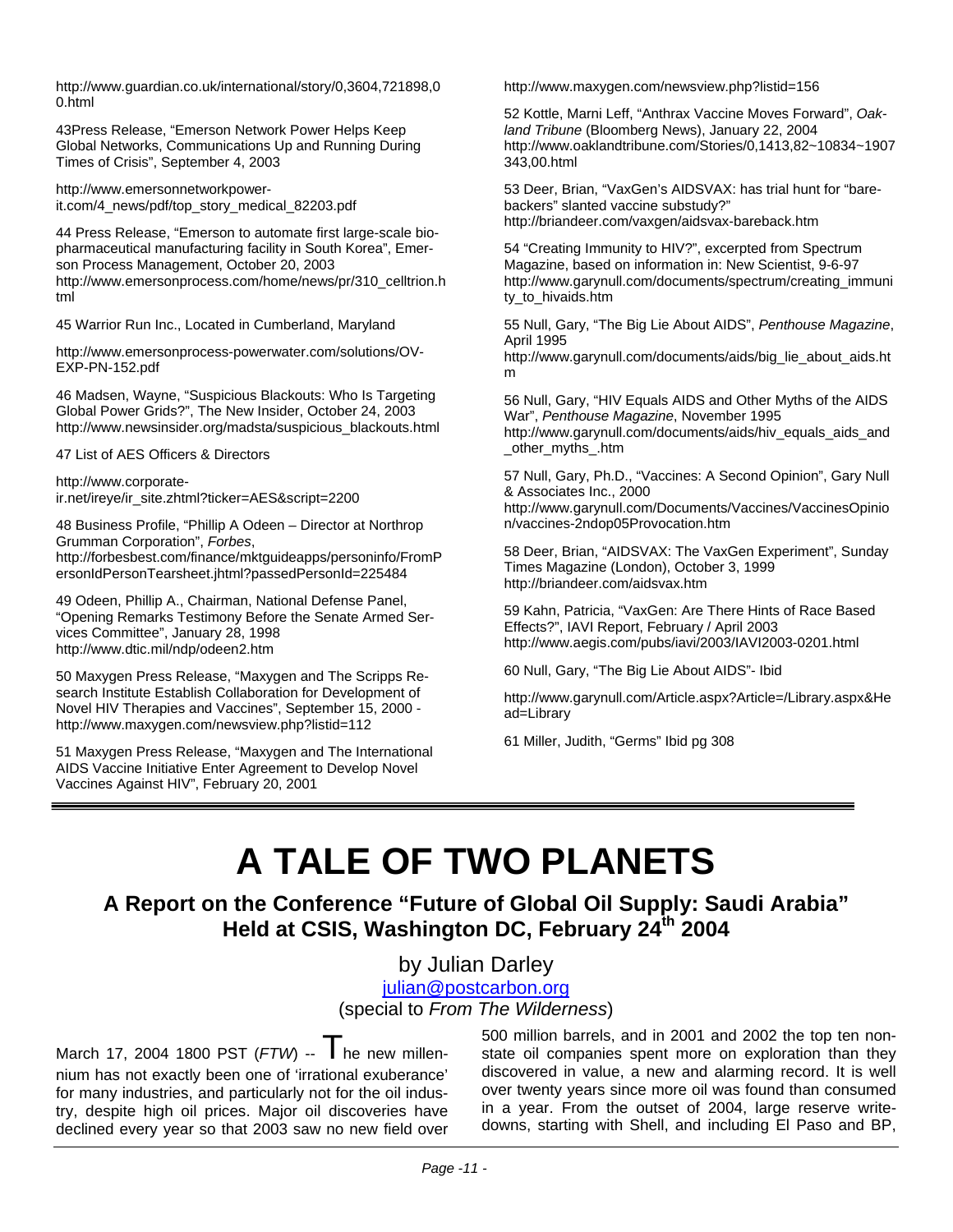http://www.guardian.co.uk/international/story/0,3604,721898,0 0.html

43Press Release, "Emerson Network Power Helps Keep Global Networks, Communications Up and Running During Times of Crisis", September 4, 2003

http://www.emersonnetworkpowerit.com/4\_news/pdf/top\_story\_medical\_82203.pdf

44 Press Release, "Emerson to automate first large-scale biopharmaceutical manufacturing facility in South Korea", Emerson Process Management, October 20, 2003 http://www.emersonprocess.com/home/news/pr/310\_celltrion.h tml

45 Warrior Run Inc., Located in Cumberland, Maryland

http://www.emersonprocess-powerwater.com/solutions/OV-EXP-PN-152.pdf

46 Madsen, Wayne, "Suspicious Blackouts: Who Is Targeting Global Power Grids?", The New Insider, October 24, 2003 http://www.newsinsider.org/madsta/suspicious\_blackouts.html

47 List of AES Officers & Directors

http://www.corporateir.net/ireye/ir\_site.zhtml?ticker=AES&script=2200

48 Business Profile, "Phillip A Odeen – Director at Northrop Grumman Corporation", *Forbes*,

http://forbesbest.com/finance/mktguideapps/personinfo/FromP ersonIdPersonTearsheet.jhtml?passedPersonId=225484

49 Odeen, Phillip A., Chairman, National Defense Panel, "Opening Remarks Testimony Before the Senate Armed Services Committee", January 28, 1998 http://www.dtic.mil/ndp/odeen2.htm

50 Maxygen Press Release, "Maxygen and The Scripps Research Institute Establish Collaboration for Development of Novel HIV Therapies and Vaccines", September 15, 2000 http://www.maxygen.com/newsview.php?listid=112

51 Maxygen Press Release, "Maxygen and The International AIDS Vaccine Initiative Enter Agreement to Develop Novel Vaccines Against HIV", February 20, 2001

http://www.maxygen.com/newsview.php?listid=156

52 Kottle, Marni Leff, "Anthrax Vaccine Moves Forward", *Oakland Tribune* (Bloomberg News), January 22, 2004 http://www.oaklandtribune.com/Stories/0,1413,82~10834~1907 343,00.html

53 Deer, Brian, "VaxGen's AIDSVAX: has trial hunt for "barebackers" slanted vaccine substudy?" http://briandeer.com/vaxgen/aidsvax-bareback.htm

54 "Creating Immunity to HIV?", excerpted from Spectrum Magazine, based on information in: New Scientist, 9-6-97 http://www.garynull.com/documents/spectrum/creating\_immuni ty\_to\_hivaids.htm

55 Null, Gary, "The Big Lie About AIDS", *Penthouse Magazine*, April 1995

http://www.garynull.com/documents/aids/big\_lie\_about\_aids.ht m

56 Null, Gary, "HIV Equals AIDS and Other Myths of the AIDS War", *Penthouse Magazine*, November 1995 http://www.garynull.com/documents/aids/hiv\_equals\_aids\_and other myths .htm

57 Null, Gary, Ph.D., "Vaccines: A Second Opinion", Gary Null & Associates Inc., 2000

http://www.garynull.com/Documents/Vaccines/VaccinesOpinio n/vaccines-2ndop05Provocation.htm

58 Deer, Brian, "AIDSVAX: The VaxGen Experiment", Sunday Times Magazine (London), October 3, 1999 http://briandeer.com/aidsvax.htm

59 Kahn, Patricia, "VaxGen: Are There Hints of Race Based Effects?", IAVI Report, February / April 2003 http://www.aegis.com/pubs/iavi/2003/IAVI2003-0201.html

60 Null, Gary, "The Big Lie About AIDS"- Ibid

http://www.garynull.com/Article.aspx?Article=/Library.aspx&He ad=Library

61 Miller, Judith, "Germs" Ibid pg 308

### **A TALE OF TWO PLANETS**

**A Report on the Conference "Future of Global Oil Supply: Saudi Arabia" Held at CSIS, Washington DC, February 24th 2004** 

by Julian Darley

[julian@postcarbon.org](mailto:julian@postcarbon.org)

(special to *From The Wilderness*)

March 17, 2004 1800 PST  $(FTW)$  --  $\parallel$  he new millennium has not exactly been one of 'irrational exuberance' for many industries, and particularly not for the oil industry, despite high oil prices. Major oil discoveries have declined every year so that 2003 saw no new field over 500 million barrels, and in 2001 and 2002 the top ten nonstate oil companies spent more on exploration than they discovered in value, a new and alarming record. It is well over twenty years since more oil was found than consumed in a year. From the outset of 2004, large reserve writedowns, starting with Shell, and including El Paso and BP,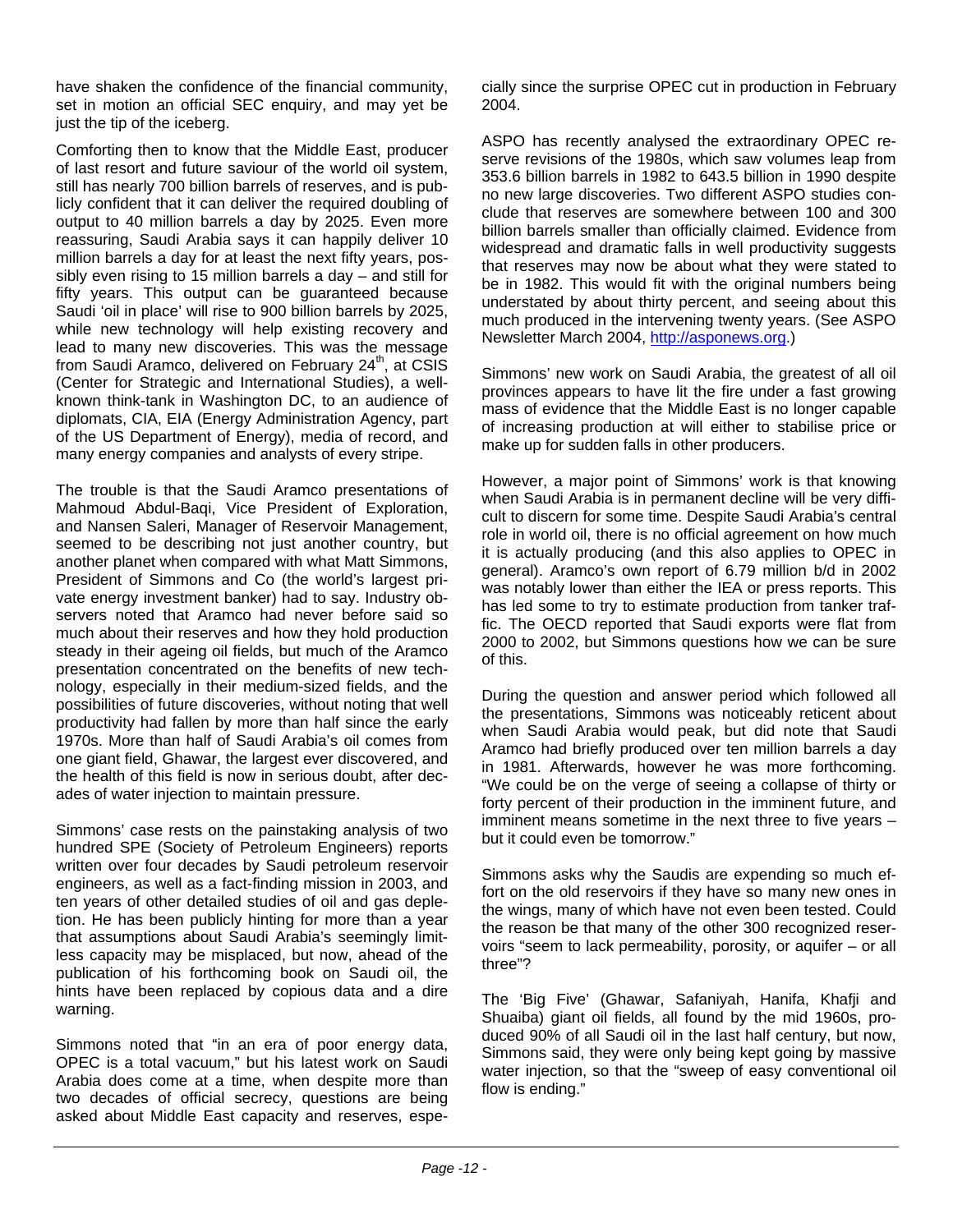have shaken the confidence of the financial community, set in motion an official SEC enquiry, and may yet be just the tip of the iceberg.

Comforting then to know that the Middle East, producer of last resort and future saviour of the world oil system, still has nearly 700 billion barrels of reserves, and is publicly confident that it can deliver the required doubling of output to 40 million barrels a day by 2025. Even more reassuring, Saudi Arabia says it can happily deliver 10 million barrels a day for at least the next fifty years, possibly even rising to 15 million barrels a day – and still for fifty years. This output can be guaranteed because Saudi 'oil in place' will rise to 900 billion barrels by 2025, while new technology will help existing recovery and lead to many new discoveries. This was the message from Saudi Aramco, delivered on February  $24<sup>th</sup>$ , at CSIS (Center for Strategic and International Studies), a wellknown think-tank in Washington DC, to an audience of diplomats, CIA, EIA (Energy Administration Agency, part of the US Department of Energy), media of record, and many energy companies and analysts of every stripe.

The trouble is that the Saudi Aramco presentations of Mahmoud Abdul-Baqi, Vice President of Exploration, and Nansen Saleri, Manager of Reservoir Management, seemed to be describing not just another country, but another planet when compared with what Matt Simmons, President of Simmons and Co (the world's largest private energy investment banker) had to say. Industry observers noted that Aramco had never before said so much about their reserves and how they hold production steady in their ageing oil fields, but much of the Aramco presentation concentrated on the benefits of new technology, especially in their medium-sized fields, and the possibilities of future discoveries, without noting that well productivity had fallen by more than half since the early 1970s. More than half of Saudi Arabia's oil comes from one giant field, Ghawar, the largest ever discovered, and the health of this field is now in serious doubt, after decades of water injection to maintain pressure.

Simmons' case rests on the painstaking analysis of two hundred SPE (Society of Petroleum Engineers) reports written over four decades by Saudi petroleum reservoir engineers, as well as a fact-finding mission in 2003, and ten years of other detailed studies of oil and gas depletion. He has been publicly hinting for more than a year that assumptions about Saudi Arabia's seemingly limitless capacity may be misplaced, but now, ahead of the publication of his forthcoming book on Saudi oil, the hints have been replaced by copious data and a dire warning.

Simmons noted that "in an era of poor energy data, OPEC is a total vacuum," but his latest work on Saudi Arabia does come at a time, when despite more than two decades of official secrecy, questions are being asked about Middle East capacity and reserves, especially since the surprise OPEC cut in production in February 2004.

ASPO has recently analysed the extraordinary OPEC reserve revisions of the 1980s, which saw volumes leap from 353.6 billion barrels in 1982 to 643.5 billion in 1990 despite no new large discoveries. Two different ASPO studies conclude that reserves are somewhere between 100 and 300 billion barrels smaller than officially claimed. Evidence from widespread and dramatic falls in well productivity suggests that reserves may now be about what they were stated to be in 1982. This would fit with the original numbers being understated by about thirty percent, and seeing about this much produced in the intervening twenty years. (See ASPO Newsletter March 2004, [http://asponews.org](http://asponews.org/).)

Simmons' new work on Saudi Arabia, the greatest of all oil provinces appears to have lit the fire under a fast growing mass of evidence that the Middle East is no longer capable of increasing production at will either to stabilise price or make up for sudden falls in other producers.

However, a major point of Simmons' work is that knowing when Saudi Arabia is in permanent decline will be very difficult to discern for some time. Despite Saudi Arabia's central role in world oil, there is no official agreement on how much it is actually producing (and this also applies to OPEC in general). Aramco's own report of 6.79 million b/d in 2002 was notably lower than either the IEA or press reports. This has led some to try to estimate production from tanker traffic. The OECD reported that Saudi exports were flat from 2000 to 2002, but Simmons questions how we can be sure of this.

During the question and answer period which followed all the presentations, Simmons was noticeably reticent about when Saudi Arabia would peak, but did note that Saudi Aramco had briefly produced over ten million barrels a day in 1981. Afterwards, however he was more forthcoming. "We could be on the verge of seeing a collapse of thirty or forty percent of their production in the imminent future, and imminent means sometime in the next three to five years – but it could even be tomorrow."

Simmons asks why the Saudis are expending so much effort on the old reservoirs if they have so many new ones in the wings, many of which have not even been tested. Could the reason be that many of the other 300 recognized reservoirs "seem to lack permeability, porosity, or aquifer – or all three"?

The 'Big Five' (Ghawar, Safaniyah, Hanifa, Khafji and Shuaiba) giant oil fields, all found by the mid 1960s, produced 90% of all Saudi oil in the last half century, but now, Simmons said, they were only being kept going by massive water injection, so that the "sweep of easy conventional oil flow is ending."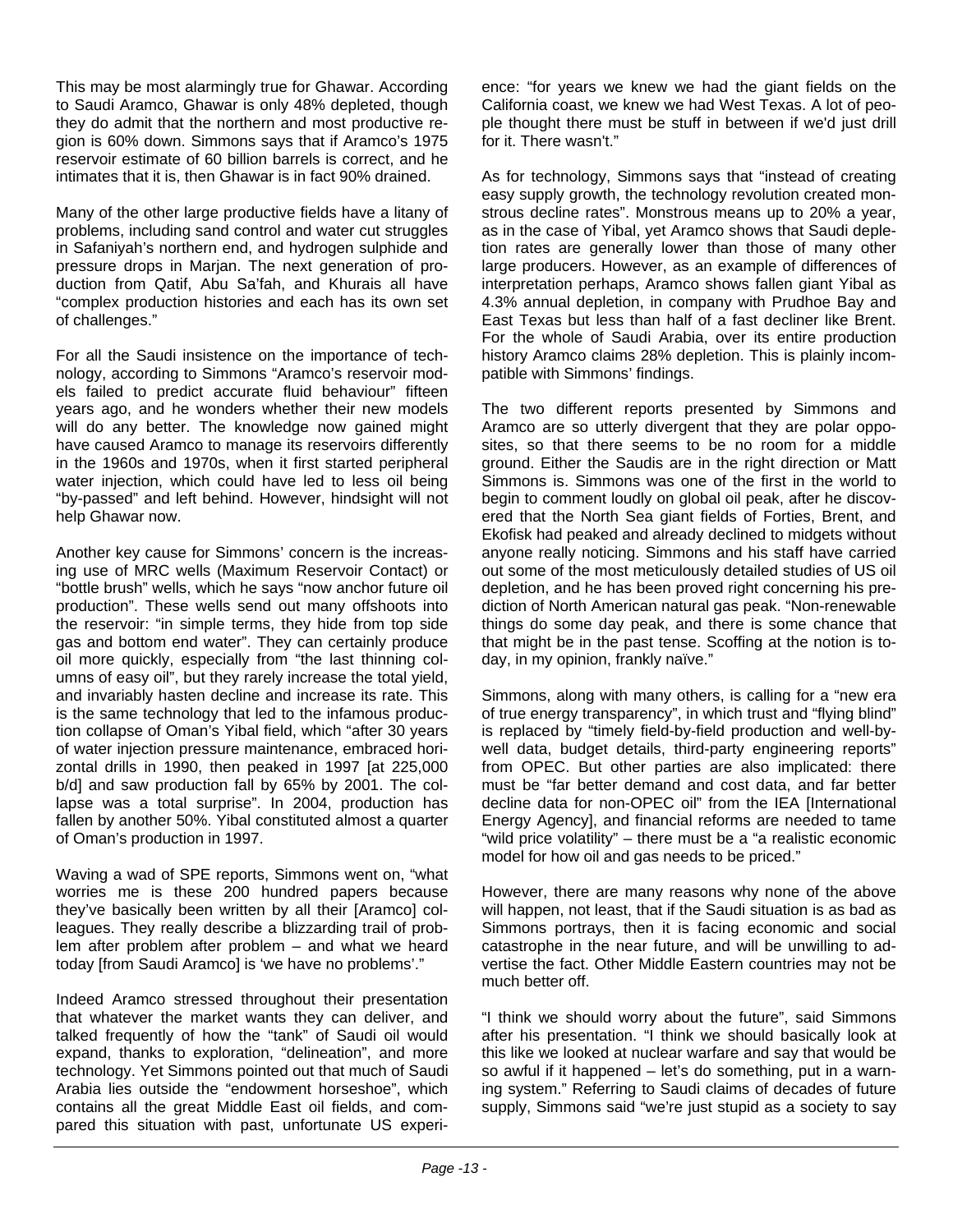This may be most alarmingly true for Ghawar. According to Saudi Aramco, Ghawar is only 48% depleted, though they do admit that the northern and most productive region is 60% down. Simmons says that if Aramco's 1975 reservoir estimate of 60 billion barrels is correct, and he intimates that it is, then Ghawar is in fact 90% drained.

Many of the other large productive fields have a litany of problems, including sand control and water cut struggles in Safaniyah's northern end, and hydrogen sulphide and pressure drops in Marjan. The next generation of production from Qatif, Abu Sa'fah, and Khurais all have "complex production histories and each has its own set of challenges."

For all the Saudi insistence on the importance of technology, according to Simmons "Aramco's reservoir models failed to predict accurate fluid behaviour" fifteen years ago, and he wonders whether their new models will do any better. The knowledge now gained might have caused Aramco to manage its reservoirs differently in the 1960s and 1970s, when it first started peripheral water injection, which could have led to less oil being "by-passed" and left behind. However, hindsight will not help Ghawar now.

Another key cause for Simmons' concern is the increasing use of MRC wells (Maximum Reservoir Contact) or "bottle brush" wells, which he says "now anchor future oil production". These wells send out many offshoots into the reservoir: "in simple terms, they hide from top side gas and bottom end water". They can certainly produce oil more quickly, especially from "the last thinning columns of easy oil", but they rarely increase the total yield, and invariably hasten decline and increase its rate. This is the same technology that led to the infamous production collapse of Oman's Yibal field, which "after 30 years of water injection pressure maintenance, embraced horizontal drills in 1990, then peaked in 1997 [at 225,000 b/d] and saw production fall by 65% by 2001. The collapse was a total surprise". In 2004, production has fallen by another 50%. Yibal constituted almost a quarter of Oman's production in 1997.

Waving a wad of SPE reports, Simmons went on, "what worries me is these 200 hundred papers because they've basically been written by all their [Aramco] colleagues. They really describe a blizzarding trail of problem after problem after problem – and what we heard today [from Saudi Aramco] is 'we have no problems'."

Indeed Aramco stressed throughout their presentation that whatever the market wants they can deliver, and talked frequently of how the "tank" of Saudi oil would expand, thanks to exploration, "delineation", and more technology. Yet Simmons pointed out that much of Saudi Arabia lies outside the "endowment horseshoe", which contains all the great Middle East oil fields, and compared this situation with past, unfortunate US experience: "for years we knew we had the giant fields on the California coast, we knew we had West Texas. A lot of people thought there must be stuff in between if we'd just drill for it. There wasn't."

As for technology, Simmons says that "instead of creating easy supply growth, the technology revolution created monstrous decline rates". Monstrous means up to 20% a year, as in the case of Yibal, yet Aramco shows that Saudi depletion rates are generally lower than those of many other large producers. However, as an example of differences of interpretation perhaps, Aramco shows fallen giant Yibal as 4.3% annual depletion, in company with Prudhoe Bay and East Texas but less than half of a fast decliner like Brent. For the whole of Saudi Arabia, over its entire production history Aramco claims 28% depletion. This is plainly incompatible with Simmons' findings.

The two different reports presented by Simmons and Aramco are so utterly divergent that they are polar opposites, so that there seems to be no room for a middle ground. Either the Saudis are in the right direction or Matt Simmons is. Simmons was one of the first in the world to begin to comment loudly on global oil peak, after he discovered that the North Sea giant fields of Forties, Brent, and Ekofisk had peaked and already declined to midgets without anyone really noticing. Simmons and his staff have carried out some of the most meticulously detailed studies of US oil depletion, and he has been proved right concerning his prediction of North American natural gas peak. "Non-renewable things do some day peak, and there is some chance that that might be in the past tense. Scoffing at the notion is today, in my opinion, frankly naïve."

Simmons, along with many others, is calling for a "new era of true energy transparency", in which trust and "flying blind" is replaced by "timely field-by-field production and well-bywell data, budget details, third-party engineering reports" from OPEC. But other parties are also implicated: there must be "far better demand and cost data, and far better decline data for non-OPEC oil" from the IEA [International Energy Agency], and financial reforms are needed to tame "wild price volatility" – there must be a "a realistic economic model for how oil and gas needs to be priced."

However, there are many reasons why none of the above will happen, not least, that if the Saudi situation is as bad as Simmons portrays, then it is facing economic and social catastrophe in the near future, and will be unwilling to advertise the fact. Other Middle Eastern countries may not be much better off.

"I think we should worry about the future", said Simmons after his presentation. "I think we should basically look at this like we looked at nuclear warfare and say that would be so awful if it happened – let's do something, put in a warning system." Referring to Saudi claims of decades of future supply, Simmons said "we're just stupid as a society to say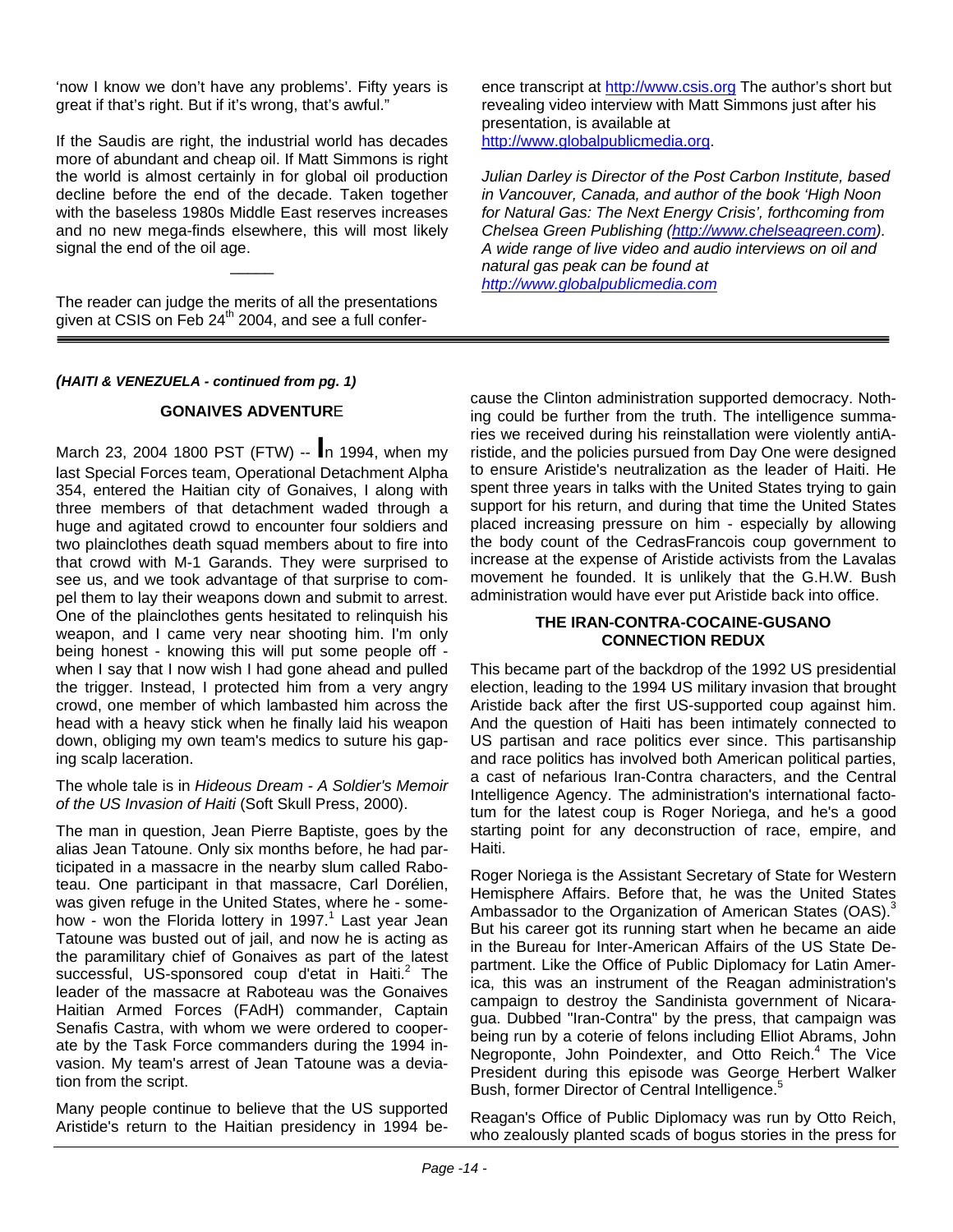'now I know we don't have any problems'. Fifty years is great if that's right. But if it's wrong, that's awful."

If the Saudis are right, the industrial world has decades more of abundant and cheap oil. If Matt Simmons is right the world is almost certainly in for global oil production decline before the end of the decade. Taken together with the baseless 1980s Middle East reserves increases and no new mega-finds elsewhere, this will most likely signal the end of the oil age.

 $\overline{\phantom{a}}$ 

The reader can judge the merits of all the presentations given at CSIS on Feb  $24<sup>th</sup>$  2004, and see a full confer-

#### *(HAITI & VENEZUELA - continued from pg. 1)*

#### **GONAIVES ADVENTUR**E

March 23, 2004 1800 PST (FTW) -- **I**n 1994, when my last Special Forces team, Operational Detachment Alpha 354, entered the Haitian city of Gonaives, I along with three members of that detachment waded through a huge and agitated crowd to encounter four soldiers and two plainclothes death squad members about to fire into that crowd with M-1 Garands. They were surprised to see us, and we took advantage of that surprise to compel them to lay their weapons down and submit to arrest. One of the plainclothes gents hesitated to relinquish his weapon, and I came very near shooting him. I'm only being honest - knowing this will put some people off when I say that I now wish I had gone ahead and pulled the trigger. Instead, I protected him from a very angry crowd, one member of which lambasted him across the head with a heavy stick when he finally laid his weapon down, obliging my own team's medics to suture his gaping scalp laceration.

#### The whole tale is in *Hideous Dream - A Soldier's Memoir of the US Invasion of Haiti* (Soft Skull Press, 2000).

The man in question, Jean Pierre Baptiste, goes by the alias Jean Tatoune. Only six months before, he had participated in a massacre in the nearby slum called Raboteau. One participant in that massacre, Carl Dorélien, was given refuge in the United States, where he - somehow - won the Florida lottery in 1997.<sup>1</sup> Last year Jean Tatoune was busted out of jail, and now he is acting as the paramilitary chief of Gonaives as part of the latest successful, US-sponsored coup d'etat in Haiti.<sup>2</sup> The leader of the massacre at Raboteau was the Gonaives Haitian Armed Forces (FAdH) commander, Captain Senafis Castra, with whom we were ordered to cooperate by the Task Force commanders during the 1994 invasion. My team's arrest of Jean Tatoune was a deviation from the script.

Many people continue to believe that the US supported Aristide's return to the Haitian presidency in 1994 beence transcript at [http://www.csis.org](http://www.csis.org/) The author's short but revealing video interview with Matt Simmons just after his presentation, is available at [http://www.globalpublicmedia.org](http://www.globalpublicmedia.org/).

*Julian Darley is Director of the Post Carbon Institute, based in Vancouver, Canada, and author of the book 'High Noon for Natural Gas: The Next Energy Crisis', forthcoming from Chelsea Green Publishing ([http://www.chelseagreen.com](http://www.chelseagreen.com/)). A wide range of live video and audio interviews on oil and natural gas peak can be found at [http://www.globalpublicmedia.com](http://www.globalpublicmedia.com/)*

cause the Clinton administration supported democracy. Nothing could be further from the truth. The intelligence summaries we received during his reinstallation were violently antiAristide, and the policies pursued from Day One were designed to ensure Aristide's neutralization as the leader of Haiti. He spent three years in talks with the United States trying to gain support for his return, and during that time the United States placed increasing pressure on him - especially by allowing the body count of the CedrasFrancois coup government to increase at the expense of Aristide activists from the Lavalas movement he founded. It is unlikely that the G.H.W. Bush administration would have ever put Aristide back into office.

#### **THE IRAN-CONTRA-COCAINE-GUSANO CONNECTION REDUX**

This became part of the backdrop of the 1992 US presidential election, leading to the 1994 US military invasion that brought Aristide back after the first US-supported coup against him. And the question of Haiti has been intimately connected to US partisan and race politics ever since. This partisanship and race politics has involved both American political parties, a cast of nefarious Iran-Contra characters, and the Central Intelligence Agency. The administration's international factotum for the latest coup is Roger Noriega, and he's a good starting point for any deconstruction of race, empire, and Haiti.

Roger Noriega is the Assistant Secretary of State for Western Hemisphere Affairs. Before that, he was the United States Ambassador to the Organization of American States (OAS).<sup>3</sup> But his career got its running start when he became an aide in the Bureau for Inter-American Affairs of the US State Department. Like the Office of Public Diplomacy for Latin America, this was an instrument of the Reagan administration's campaign to destroy the Sandinista government of Nicaragua. Dubbed "Iran-Contra" by the press, that campaign was being run by a coterie of felons including Elliot Abrams, John Negroponte, John Poindexter, and Otto Reich.<sup>4</sup> The Vice President during this episode was George Herbert Walker Bush, former Director of Central Intelligence.<sup>5</sup>

Reagan's Office of Public Diplomacy was run by Otto Reich, who zealously planted scads of bogus stories in the press for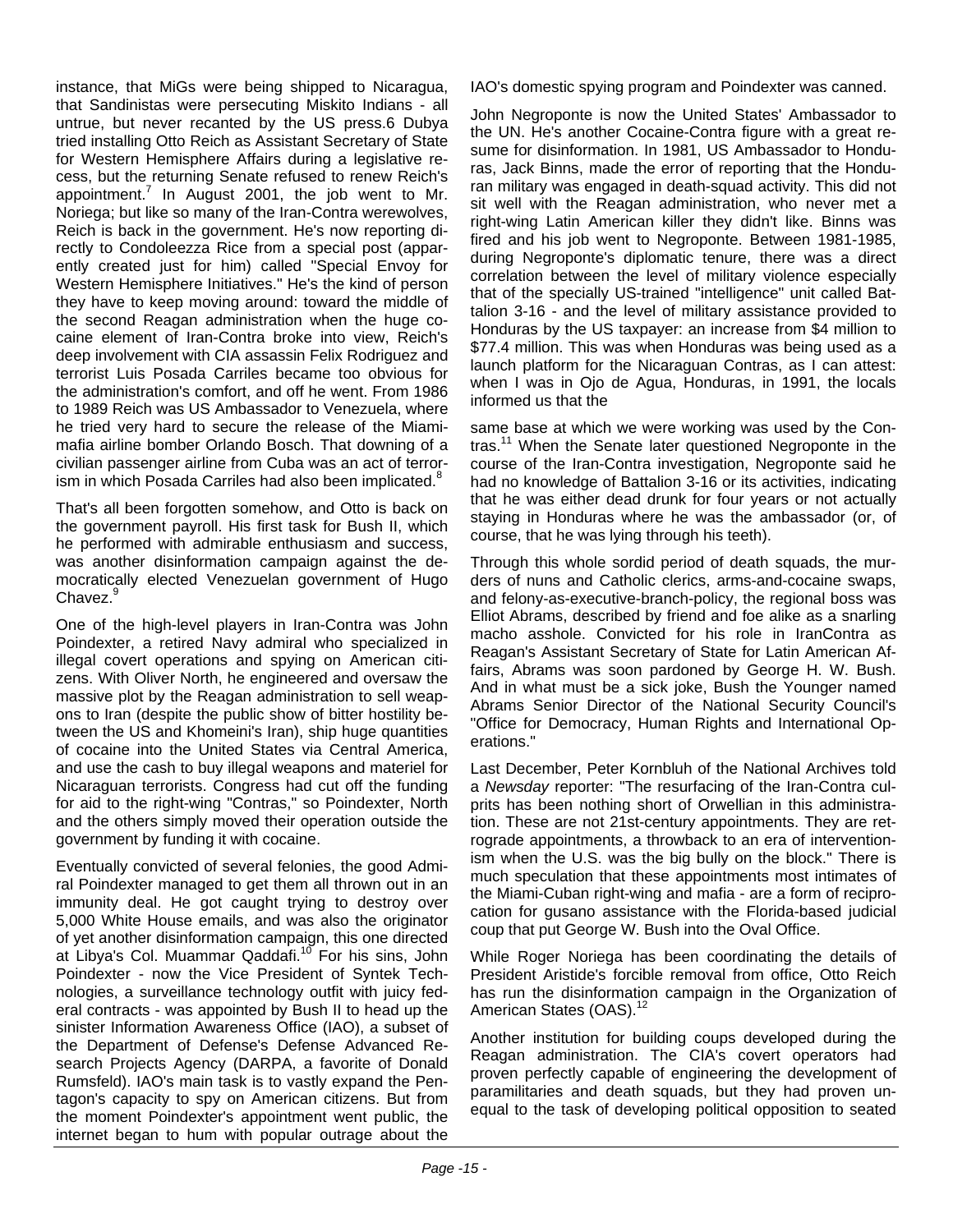instance, that MiGs were being shipped to Nicaragua, that Sandinistas were persecuting Miskito Indians - all untrue, but never recanted by the US press.6 Dubya tried installing Otto Reich as Assistant Secretary of State for Western Hemisphere Affairs during a legislative recess, but the returning Senate refused to renew Reich's appointment.<sup>7</sup> In August 2001, the job went to Mr. Noriega; but like so many of the Iran-Contra werewolves, Reich is back in the government. He's now reporting directly to Condoleezza Rice from a special post (apparently created just for him) called "Special Envoy for Western Hemisphere Initiatives." He's the kind of person they have to keep moving around: toward the middle of the second Reagan administration when the huge cocaine element of Iran-Contra broke into view, Reich's deep involvement with CIA assassin Felix Rodriguez and terrorist Luis Posada Carriles became too obvious for the administration's comfort, and off he went. From 1986 to 1989 Reich was US Ambassador to Venezuela, where he tried very hard to secure the release of the Miamimafia airline bomber Orlando Bosch. That downing of a civilian passenger airline from Cuba was an act of terrorism in which Posada Carriles had also been implicated.<sup>8</sup>

That's all been forgotten somehow, and Otto is back on the government payroll. His first task for Bush II, which he performed with admirable enthusiasm and success, was another disinformation campaign against the democratically elected Venezuelan government of Hugo Chavez.<sup>9</sup>

One of the high-level players in Iran-Contra was John Poindexter, a retired Navy admiral who specialized in illegal covert operations and spying on American citizens. With Oliver North, he engineered and oversaw the massive plot by the Reagan administration to sell weapons to Iran (despite the public show of bitter hostility between the US and Khomeini's Iran), ship huge quantities of cocaine into the United States via Central America, and use the cash to buy illegal weapons and materiel for Nicaraguan terrorists. Congress had cut off the funding for aid to the right-wing "Contras," so Poindexter, North and the others simply moved their operation outside the government by funding it with cocaine.

Eventually convicted of several felonies, the good Admiral Poindexter managed to get them all thrown out in an immunity deal. He got caught trying to destroy over 5,000 White House emails, and was also the originator of yet another disinformation campaign, this one directed at Libya's Col. Muammar Qaddafi.<sup>10</sup> For his sins, John Poindexter - now the Vice President of Syntek Technologies, a surveillance technology outfit with juicy federal contracts - was appointed by Bush II to head up the sinister Information Awareness Office (IAO), a subset of the Department of Defense's Defense Advanced Research Projects Agency (DARPA, a favorite of Donald Rumsfeld). IAO's main task is to vastly expand the Pentagon's capacity to spy on American citizens. But from the moment Poindexter's appointment went public, the internet began to hum with popular outrage about the IAO's domestic spying program and Poindexter was canned.

John Negroponte is now the United States' Ambassador to the UN. He's another Cocaine-Contra figure with a great resume for disinformation. In 1981, US Ambassador to Honduras, Jack Binns, made the error of reporting that the Honduran military was engaged in death-squad activity. This did not sit well with the Reagan administration, who never met a right-wing Latin American killer they didn't like. Binns was fired and his job went to Negroponte. Between 1981-1985, during Negroponte's diplomatic tenure, there was a direct correlation between the level of military violence especially that of the specially US-trained "intelligence" unit called Battalion 3-16 - and the level of military assistance provided to Honduras by the US taxpayer: an increase from \$4 million to \$77.4 million. This was when Honduras was being used as a launch platform for the Nicaraguan Contras, as I can attest: when I was in Ojo de Agua, Honduras, in 1991, the locals informed us that the

same base at which we were working was used by the Contras.<sup>11</sup> When the Senate later questioned Negroponte in the course of the Iran-Contra investigation, Negroponte said he had no knowledge of Battalion 3-16 or its activities, indicating that he was either dead drunk for four years or not actually staying in Honduras where he was the ambassador (or, of course, that he was lying through his teeth).

Through this whole sordid period of death squads, the murders of nuns and Catholic clerics, arms-and-cocaine swaps, and felony-as-executive-branch-policy, the regional boss was Elliot Abrams, described by friend and foe alike as a snarling macho asshole. Convicted for his role in IranContra as Reagan's Assistant Secretary of State for Latin American Affairs, Abrams was soon pardoned by George H. W. Bush. And in what must be a sick joke, Bush the Younger named Abrams Senior Director of the National Security Council's "Office for Democracy, Human Rights and International Operations."

Last December, Peter Kornbluh of the National Archives told a *Newsday* reporter: "The resurfacing of the Iran-Contra culprits has been nothing short of Orwellian in this administration. These are not 21st-century appointments. They are retrograde appointments, a throwback to an era of interventionism when the U.S. was the big bully on the block." There is much speculation that these appointments most intimates of the Miami-Cuban right-wing and mafia - are a form of reciprocation for gusano assistance with the Florida-based judicial coup that put George W. Bush into the Oval Office.

While Roger Noriega has been coordinating the details of President Aristide's forcible removal from office, Otto Reich has run the disinformation campaign in the Organization of American States (OAS).<sup>12</sup>

Another institution for building coups developed during the Reagan administration. The CIA's covert operators had proven perfectly capable of engineering the development of paramilitaries and death squads, but they had proven unequal to the task of developing political opposition to seated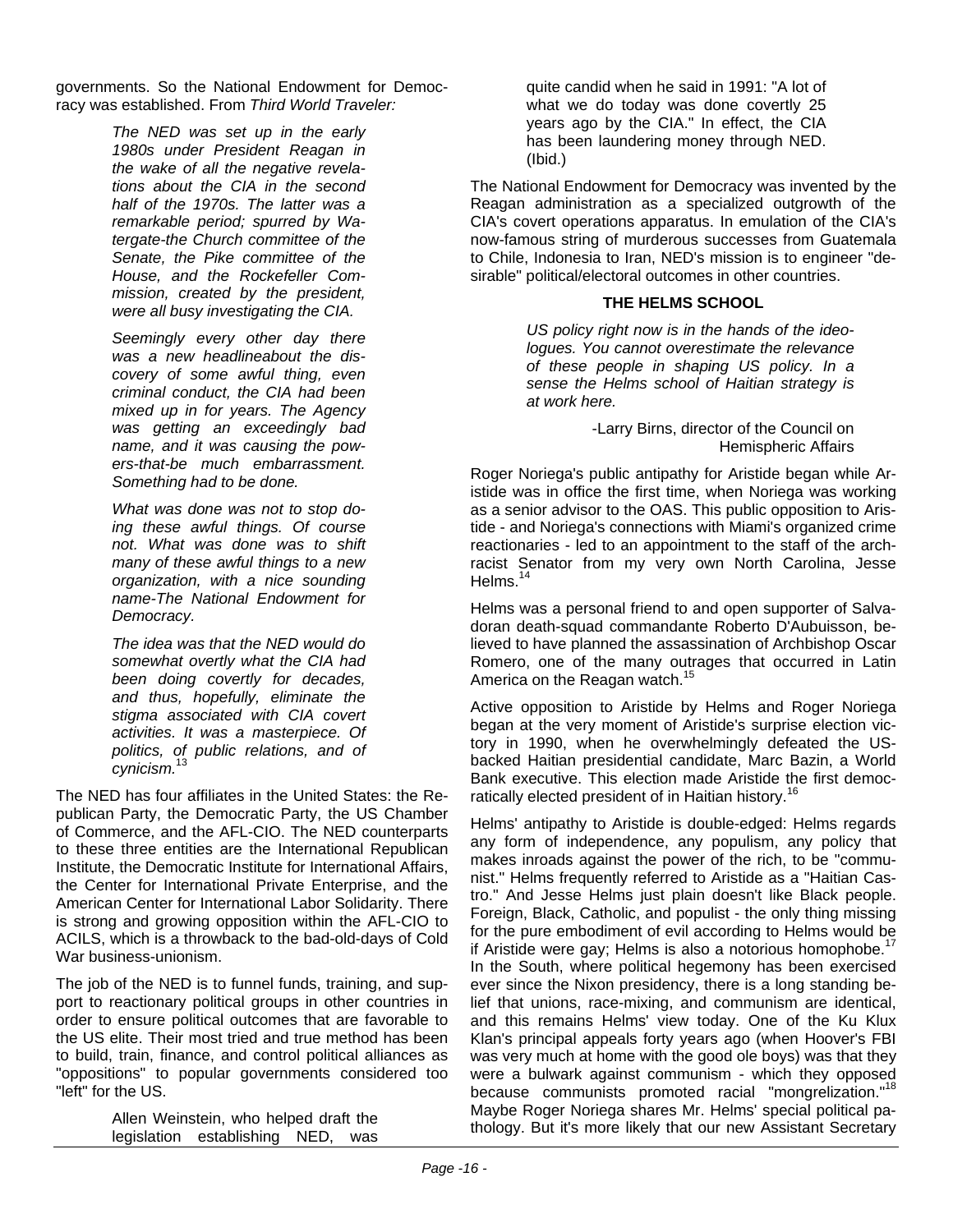governments. So the National Endowment for Democracy was established. From *Third World Traveler:*

> *The NED was set up in the early 1980s under President Reagan in the wake of all the negative revelations about the CIA in the second half of the 1970s. The latter was a remarkable period; spurred by Watergate-the Church committee of the Senate, the Pike committee of the House, and the Rockefeller Commission, created by the president, were all busy investigating the CIA.*

> *Seemingly every other day there was a new headlineabout the discovery of some awful thing, even criminal conduct, the CIA had been mixed up in for years. The Agency was getting an exceedingly bad name, and it was causing the powers-that-be much embarrassment. Something had to be done.*

> *What was done was not to stop doing these awful things. Of course not. What was done was to shift many of these awful things to a new organization, with a nice sounding name-The National Endowment for Democracy.*

> *The idea was that the NED would do somewhat overtly what the CIA had been doing covertly for decades, and thus, hopefully, eliminate the stigma associated with CIA covert activities. It was a masterpiece. Of politics, of public relations, and of cynicism.*<sup>13</sup>

The NED has four affiliates in the United States: the Republican Party, the Democratic Party, the US Chamber of Commerce, and the AFL-CIO. The NED counterparts to these three entities are the International Republican Institute, the Democratic Institute for International Affairs, the Center for International Private Enterprise, and the American Center for International Labor Solidarity. There is strong and growing opposition within the AFL-CIO to ACILS, which is a throwback to the bad-old-days of Cold War business-unionism.

The job of the NED is to funnel funds, training, and support to reactionary political groups in other countries in order to ensure political outcomes that are favorable to the US elite. Their most tried and true method has been to build, train, finance, and control political alliances as "oppositions" to popular governments considered too "left" for the US.

> Allen Weinstein, who helped draft the legislation establishing NED, was

quite candid when he said in 1991: "A lot of what we do today was done covertly 25 years ago by the CIA." In effect, the CIA has been laundering money through NED. (Ibid.)

The National Endowment for Democracy was invented by the Reagan administration as a specialized outgrowth of the CIA's covert operations apparatus. In emulation of the CIA's now-famous string of murderous successes from Guatemala to Chile, Indonesia to Iran, NED's mission is to engineer "desirable" political/electoral outcomes in other countries.

#### **THE HELMS SCHOOL**

*US policy right now is in the hands of the ideologues. You cannot overestimate the relevance of these people in shaping US policy. In a sense the Helms school of Haitian strategy is at work here.* 

> -Larry Birns, director of the Council on Hemispheric Affairs

Roger Noriega's public antipathy for Aristide began while Aristide was in office the first time, when Noriega was working as a senior advisor to the OAS. This public opposition to Aristide - and Noriega's connections with Miami's organized crime reactionaries - led to an appointment to the staff of the archracist Senator from my very own North Carolina, Jesse Helms. $14$ 

Helms was a personal friend to and open supporter of Salvadoran death-squad commandante Roberto D'Aubuisson, believed to have planned the assassination of Archbishop Oscar Romero, one of the many outrages that occurred in Latin America on the Reagan watch.<sup>15</sup>

Active opposition to Aristide by Helms and Roger Noriega began at the very moment of Aristide's surprise election victory in 1990, when he overwhelmingly defeated the USbacked Haitian presidential candidate, Marc Bazin, a World Bank executive. This election made Aristide the first democratically elected president of in Haitian history.<sup>16</sup>

Helms' antipathy to Aristide is double-edged: Helms regards any form of independence, any populism, any policy that makes inroads against the power of the rich, to be "communist." Helms frequently referred to Aristide as a "Haitian Castro." And Jesse Helms just plain doesn't like Black people. Foreign, Black, Catholic, and populist - the only thing missing for the pure embodiment of evil according to Helms would be if Aristide were gay; Helms is also a notorious homophobe.<sup>17</sup> In the South, where political hegemony has been exercised ever since the Nixon presidency, there is a long standing belief that unions, race-mixing, and communism are identical, and this remains Helms' view today. One of the Ku Klux Klan's principal appeals forty years ago (when Hoover's FBI was very much at home with the good ole boys) was that they were a bulwark against communism - which they opposed because communists promoted racial "mongrelization."<sup>18</sup> Maybe Roger Noriega shares Mr. Helms' special political pathology. But it's more likely that our new Assistant Secretary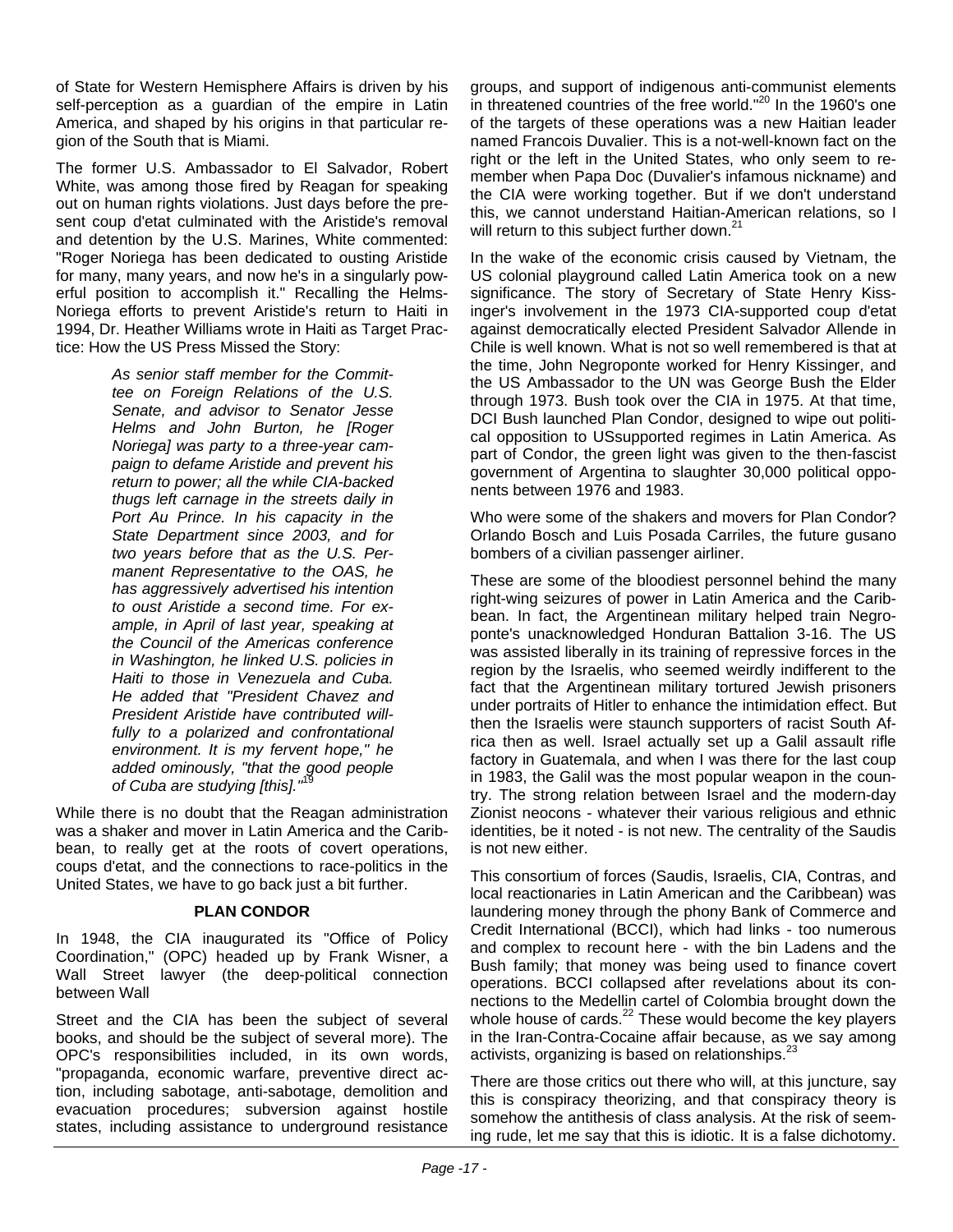of State for Western Hemisphere Affairs is driven by his self-perception as a guardian of the empire in Latin America, and shaped by his origins in that particular region of the South that is Miami.

The former U.S. Ambassador to El Salvador, Robert White, was among those fired by Reagan for speaking out on human rights violations. Just days before the present coup d'etat culminated with the Aristide's removal and detention by the U.S. Marines, White commented: "Roger Noriega has been dedicated to ousting Aristide for many, many years, and now he's in a singularly powerful position to accomplish it." Recalling the Helms-Noriega efforts to prevent Aristide's return to Haiti in 1994, Dr. Heather Williams wrote in Haiti as Target Practice: How the US Press Missed the Story:

> *As senior staff member for the Committee on Foreign Relations of the U.S. Senate, and advisor to Senator Jesse Helms and John Burton, he [Roger Noriega] was party to a three-year campaign to defame Aristide and prevent his return to power; all the while CIA-backed thugs left carnage in the streets daily in Port Au Prince. In his capacity in the State Department since 2003, and for two years before that as the U.S. Permanent Representative to the OAS, he has aggressively advertised his intention to oust Aristide a second time. For example, in April of last year, speaking at the Council of the Americas conference in Washington, he linked U.S. policies in Haiti to those in Venezuela and Cuba. He added that "President Chavez and President Aristide have contributed willfully to a polarized and confrontational environment. It is my fervent hope," he added ominously, "that the good people*  of Cuba are studying [this]."<sup>1</sup>

While there is no doubt that the Reagan administration was a shaker and mover in Latin America and the Caribbean, to really get at the roots of covert operations, coups d'etat, and the connections to race-politics in the United States, we have to go back just a bit further.

#### **PLAN CONDOR**

between Wall In 1948, the CIA inaugurated its "Office of Policy Coordination," (OPC) headed up by Frank Wisner, a Wall Street lawyer (the deep-political connection

Street and the CIA has been the subject of several books, and should be the subject of several more). The OPC's responsibilities included, in its own words, "propaganda, economic warfare, preventive direct action, including sabotage, anti-sabotage, demolition and evacuation procedures; subversion against hostile states, including assistance to underground resistance

groups, and support of indigenous anti-communist elements in threatened countries of the free world."<sup>20</sup> In the 1960's one of the targets of these operations was a new Haitian leader named Francois Duvalier. This is a not-well-known fact on the right or the left in the United States, who only seem to remember when Papa Doc (Duvalier's infamous nickname) and the CIA were working together. But if we don't understand this, we cannot understand Haitian-American relations, so I will return to this subject further down.<sup>21</sup>

In the wake of the economic crisis caused by Vietnam, the US colonial playground called Latin America took on a new significance. The story of Secretary of State Henry Kissinger's involvement in the 1973 CIA-supported coup d'etat against democratically elected President Salvador Allende in Chile is well known. What is not so well remembered is that at the time, John Negroponte worked for Henry Kissinger, and the US Ambassador to the UN was George Bush the Elder through 1973. Bush took over the CIA in 1975. At that time, DCI Bush launched Plan Condor, designed to wipe out political opposition to USsupported regimes in Latin America. As part of Condor, the green light was given to the then-fascist government of Argentina to slaughter 30,000 political opponents between 1976 and 1983.

Who were some of the shakers and movers for Plan Condor? Orlando Bosch and Luis Posada Carriles, the future gusano bombers of a civilian passenger airliner.

These are some of the bloodiest personnel behind the many right-wing seizures of power in Latin America and the Caribbean. In fact, the Argentinean military helped train Negroponte's unacknowledged Honduran Battalion 3-16. The US was assisted liberally in its training of repressive forces in the region by the Israelis, who seemed weirdly indifferent to the fact that the Argentinean military tortured Jewish prisoners under portraits of Hitler to enhance the intimidation effect. But then the Israelis were staunch supporters of racist South Africa then as well. Israel actually set up a Galil assault rifle factory in Guatemala, and when I was there for the last coup in 1983, the Galil was the most popular weapon in the country. The strong relation between Israel and the modern-day Zionist neocons - whatever their various religious and ethnic identities, be it noted - is not new. The centrality of the Saudis is not new either.

This consortium of forces (Saudis, Israelis, CIA, Contras, and local reactionaries in Latin American and the Caribbean) was laundering money through the phony Bank of Commerce and Credit International (BCCI), which had links - too numerous and complex to recount here - with the bin Ladens and the Bush family; that money was being used to finance covert operations. BCCI collapsed after revelations about its connections to the Medellin cartel of Colombia brought down the whole house of cards.<sup>22</sup> These would become the key players in the Iran-Contra-Cocaine affair because, as we say among activists, organizing is based on relationships.<sup>23</sup>

There are those critics out there who will, at this juncture, say this is conspiracy theorizing, and that conspiracy theory is somehow the antithesis of class analysis. At the risk of seeming rude, let me say that this is idiotic. It is a false dichotomy.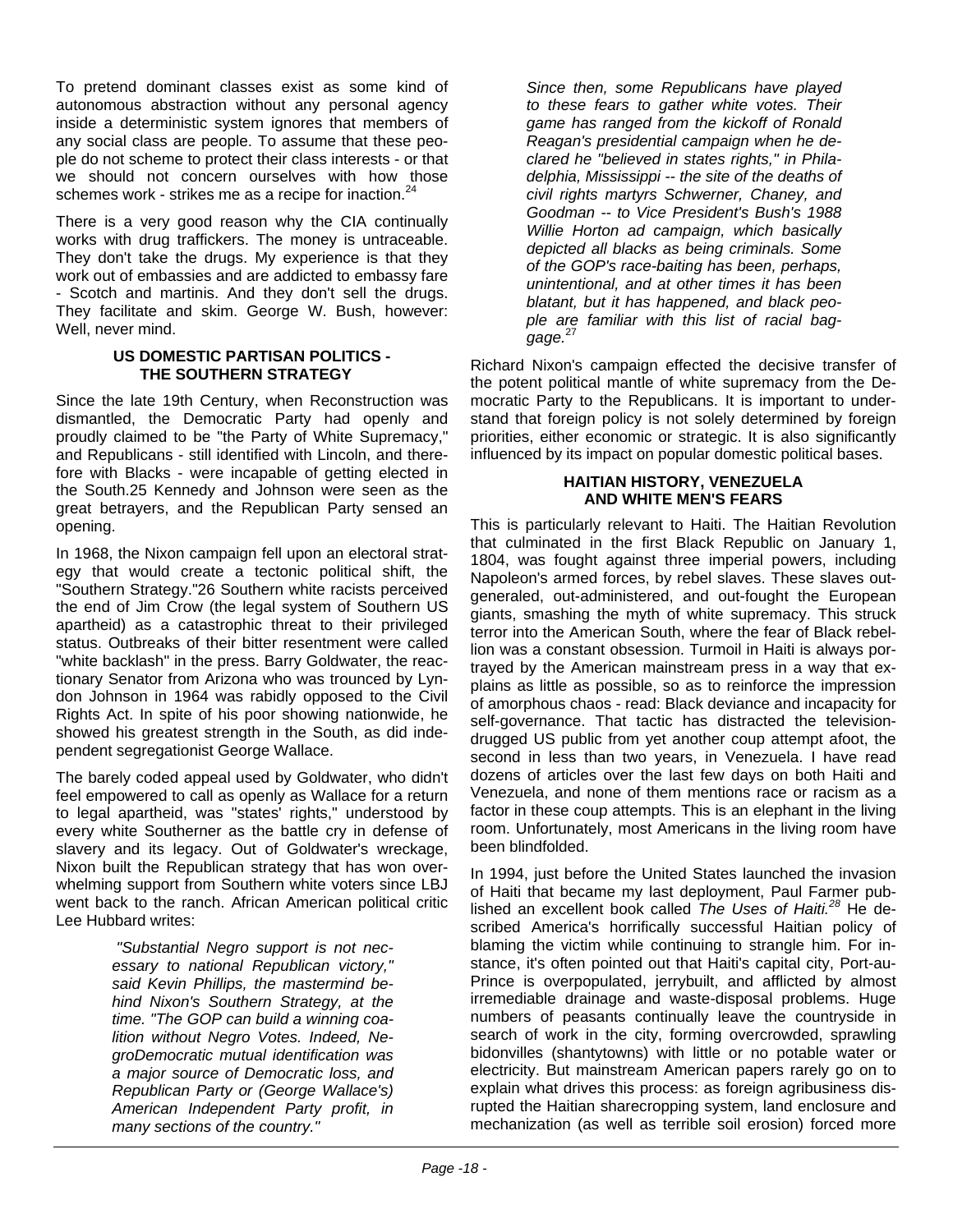To pretend dominant classes exist as some kind of autonomous abstraction without any personal agency inside a deterministic system ignores that members of any social class are people. To assume that these people do not scheme to protect their class interests - or that we should not concern ourselves with how those schemes work - strikes me as a recipe for inaction.<sup>24</sup>

There is a very good reason why the CIA continually works with drug traffickers. The money is untraceable. They don't take the drugs. My experience is that they work out of embassies and are addicted to embassy fare - Scotch and martinis. And they don't sell the drugs. They facilitate and skim. George W. Bush, however: Well, never mind.

#### **US DOMESTIC PARTISAN POLITICS - THE SOUTHERN STRATEGY**

Since the late 19th Century, when Reconstruction was dismantled, the Democratic Party had openly and proudly claimed to be "the Party of White Supremacy," and Republicans - still identified with Lincoln, and therefore with Blacks - were incapable of getting elected in the South.25 Kennedy and Johnson were seen as the great betrayers, and the Republican Party sensed an opening.

In 1968, the Nixon campaign fell upon an electoral strategy that would create a tectonic political shift, the "Southern Strategy."26 Southern white racists perceived the end of Jim Crow (the legal system of Southern US apartheid) as a catastrophic threat to their privileged status. Outbreaks of their bitter resentment were called "white backlash" in the press. Barry Goldwater, the reactionary Senator from Arizona who was trounced by Lyndon Johnson in 1964 was rabidly opposed to the Civil Rights Act. In spite of his poor showing nationwide, he showed his greatest strength in the South, as did independent segregationist George Wallace.

The barely coded appeal used by Goldwater, who didn't feel empowered to call as openly as Wallace for a return to legal apartheid, was "states' rights," understood by every white Southerner as the battle cry in defense of slavery and its legacy. Out of Goldwater's wreckage, Nixon built the Republican strategy that has won overwhelming support from Southern white voters since LBJ went back to the ranch. African American political critic Lee Hubbard writes:

> *"Substantial Negro support is not necessary to national Republican victory," said Kevin Phillips, the mastermind behind Nixon's Southern Strategy, at the time. "The GOP can build a winning coalition without Negro Votes. Indeed, NegroDemocratic mutual identification was a major source of Democratic loss, and Republican Party or (George Wallace's) American Independent Party profit, in many sections of the country."*

*Since then, some Republicans have played to these fears to gather white votes. Their game has ranged from the kickoff of Ronald Reagan's presidential campaign when he declared he "believed in states rights," in Philadelphia, Mississippi -- the site of the deaths of civil rights martyrs Schwerner, Chaney, and Goodman -- to Vice President's Bush's 1988 Willie Horton ad campaign, which basically depicted all blacks as being criminals. Some of the GOP's race-baiting has been, perhaps, unintentional, and at other times it has been blatant, but it has happened, and black people are familiar with this list of racial baggage.*<sup>27</sup>

Richard Nixon's campaign effected the decisive transfer of the potent political mantle of white supremacy from the Democratic Party to the Republicans. It is important to understand that foreign policy is not solely determined by foreign priorities, either economic or strategic. It is also significantly influenced by its impact on popular domestic political bases.

#### **HAITIAN HISTORY, VENEZUELA AND WHITE MEN'S FEARS**

This is particularly relevant to Haiti. The Haitian Revolution that culminated in the first Black Republic on January 1, 1804, was fought against three imperial powers, including Napoleon's armed forces, by rebel slaves. These slaves outgeneraled, out-administered, and out-fought the European giants, smashing the myth of white supremacy. This struck terror into the American South, where the fear of Black rebellion was a constant obsession. Turmoil in Haiti is always portrayed by the American mainstream press in a way that explains as little as possible, so as to reinforce the impression of amorphous chaos - read: Black deviance and incapacity for self-governance. That tactic has distracted the televisiondrugged US public from yet another coup attempt afoot, the second in less than two years, in Venezuela. I have read dozens of articles over the last few days on both Haiti and Venezuela, and none of them mentions race or racism as a factor in these coup attempts. This is an elephant in the living room. Unfortunately, most Americans in the living room have been blindfolded.

In 1994, just before the United States launched the invasion of Haiti that became my last deployment, Paul Farmer published an excellent book called *The Uses of Haiti.28* He described America's horrifically successful Haitian policy of blaming the victim while continuing to strangle him. For instance, it's often pointed out that Haiti's capital city, Port-au-Prince is overpopulated, jerrybuilt, and afflicted by almost irremediable drainage and waste-disposal problems. Huge numbers of peasants continually leave the countryside in search of work in the city, forming overcrowded, sprawling bidonvilles (shantytowns) with little or no potable water or electricity. But mainstream American papers rarely go on to explain what drives this process: as foreign agribusiness disrupted the Haitian sharecropping system, land enclosure and mechanization (as well as terrible soil erosion) forced more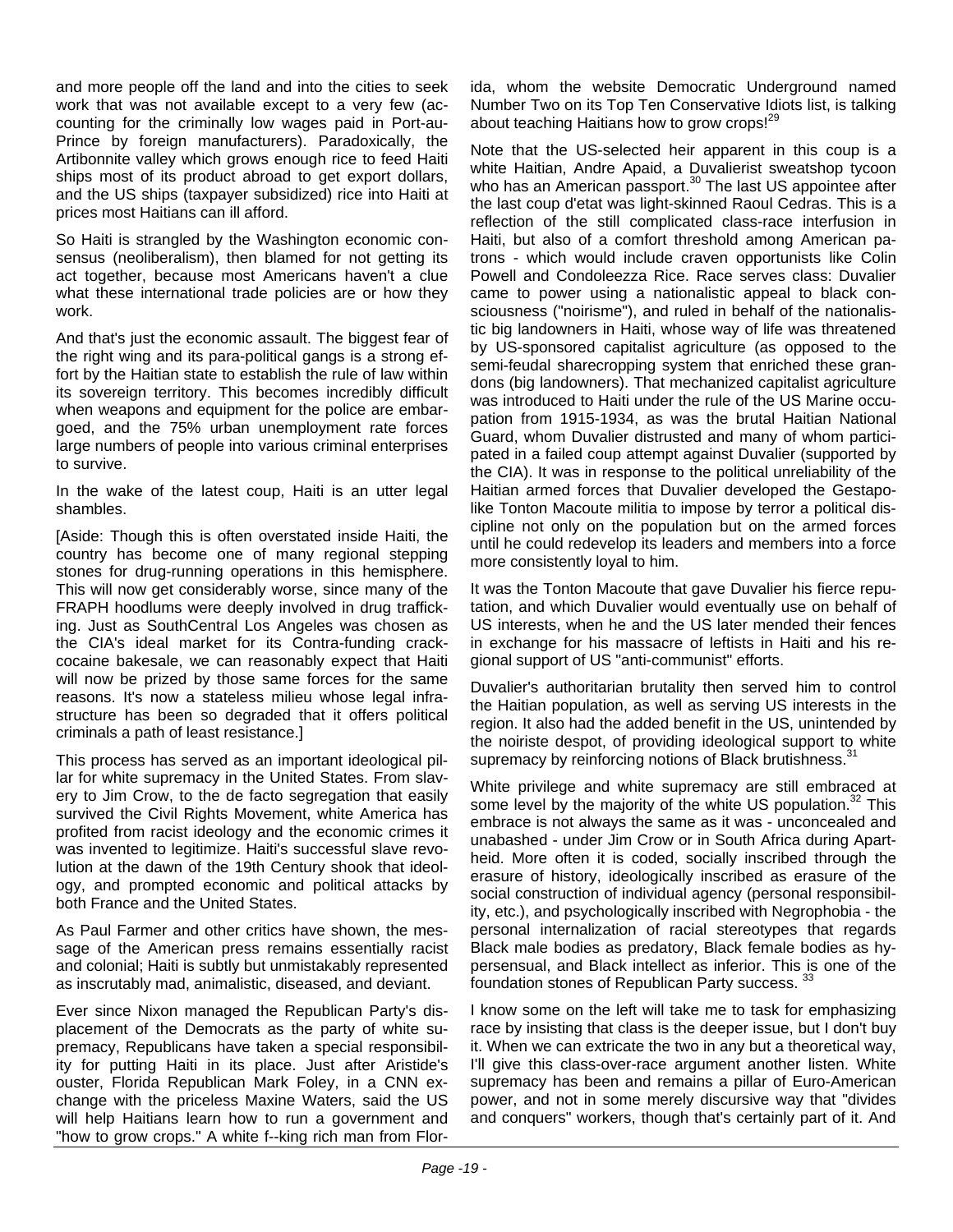and more people off the land and into the cities to seek work that was not available except to a very few (accounting for the criminally low wages paid in Port-au-Prince by foreign manufacturers). Paradoxically, the Artibonnite valley which grows enough rice to feed Haiti ships most of its product abroad to get export dollars, and the US ships (taxpayer subsidized) rice into Haiti at prices most Haitians can ill afford.

So Haiti is strangled by the Washington economic consensus (neoliberalism), then blamed for not getting its act together, because most Americans haven't a clue what these international trade policies are or how they work.

And that's just the economic assault. The biggest fear of the right wing and its para-political gangs is a strong effort by the Haitian state to establish the rule of law within its sovereign territory. This becomes incredibly difficult when weapons and equipment for the police are embargoed, and the 75% urban unemployment rate forces large numbers of people into various criminal enterprises to survive.

In the wake of the latest coup, Haiti is an utter legal shambles.

[Aside: Though this is often overstated inside Haiti, the country has become one of many regional stepping stones for drug-running operations in this hemisphere. This will now get considerably worse, since many of the FRAPH hoodlums were deeply involved in drug trafficking. Just as SouthCentral Los Angeles was chosen as the CIA's ideal market for its Contra-funding crackcocaine bakesale, we can reasonably expect that Haiti will now be prized by those same forces for the same reasons. It's now a stateless milieu whose legal infrastructure has been so degraded that it offers political criminals a path of least resistance.]

This process has served as an important ideological pillar for white supremacy in the United States. From slavery to Jim Crow, to the de facto segregation that easily survived the Civil Rights Movement, white America has profited from racist ideology and the economic crimes it was invented to legitimize. Haiti's successful slave revolution at the dawn of the 19th Century shook that ideology, and prompted economic and political attacks by both France and the United States.

As Paul Farmer and other critics have shown, the message of the American press remains essentially racist and colonial; Haiti is subtly but unmistakably represented as inscrutably mad, animalistic, diseased, and deviant.

Ever since Nixon managed the Republican Party's displacement of the Democrats as the party of white supremacy, Republicans have taken a special responsibility for putting Haiti in its place. Just after Aristide's ouster, Florida Republican Mark Foley, in a CNN exchange with the priceless Maxine Waters, said the US will help Haitians learn how to run a government and "how to grow crops." A white f--king rich man from Florida, whom the website Democratic Underground named Number Two on its Top Ten Conservative Idiots list, is talking about teaching Haitians how to grow crops!<sup>29</sup>

Note that the US-selected heir apparent in this coup is a white Haitian, Andre Apaid, a Duvalierist sweatshop tycoon who has an American passport.<sup>30</sup> The last US appointee after the last coup d'etat was light-skinned Raoul Cedras. This is a reflection of the still complicated class-race interfusion in Haiti, but also of a comfort threshold among American patrons - which would include craven opportunists like Colin Powell and Condoleezza Rice. Race serves class: Duvalier came to power using a nationalistic appeal to black consciousness ("noirisme"), and ruled in behalf of the nationalistic big landowners in Haiti, whose way of life was threatened by US-sponsored capitalist agriculture (as opposed to the semi-feudal sharecropping system that enriched these grandons (big landowners). That mechanized capitalist agriculture was introduced to Haiti under the rule of the US Marine occupation from 1915-1934, as was the brutal Haitian National Guard, whom Duvalier distrusted and many of whom participated in a failed coup attempt against Duvalier (supported by the CIA). It was in response to the political unreliability of the Haitian armed forces that Duvalier developed the Gestapolike Tonton Macoute militia to impose by terror a political discipline not only on the population but on the armed forces until he could redevelop its leaders and members into a force more consistently loyal to him.

It was the Tonton Macoute that gave Duvalier his fierce reputation, and which Duvalier would eventually use on behalf of US interests, when he and the US later mended their fences in exchange for his massacre of leftists in Haiti and his regional support of US "anti-communist" efforts.

Duvalier's authoritarian brutality then served him to control the Haitian population, as well as serving US interests in the region. It also had the added benefit in the US, unintended by the noiriste despot, of providing ideological support to white supremacy by reinforcing notions of Black brutishness.<sup>31</sup>

White privilege and white supremacy are still embraced at some level by the majority of the white US population. $32$  This embrace is not always the same as it was - unconcealed and unabashed - under Jim Crow or in South Africa during Apartheid. More often it is coded, socially inscribed through the erasure of history, ideologically inscribed as erasure of the social construction of individual agency (personal responsibility, etc.), and psychologically inscribed with Negrophobia - the personal internalization of racial stereotypes that regards Black male bodies as predatory, Black female bodies as hypersensual, and Black intellect as inferior. This is one of the foundation stones of Republican Party success. 33

I know some on the left will take me to task for emphasizing race by insisting that class is the deeper issue, but I don't buy it. When we can extricate the two in any but a theoretical way, I'll give this class-over-race argument another listen. White supremacy has been and remains a pillar of Euro-American power, and not in some merely discursive way that "divides and conquers" workers, though that's certainly part of it. And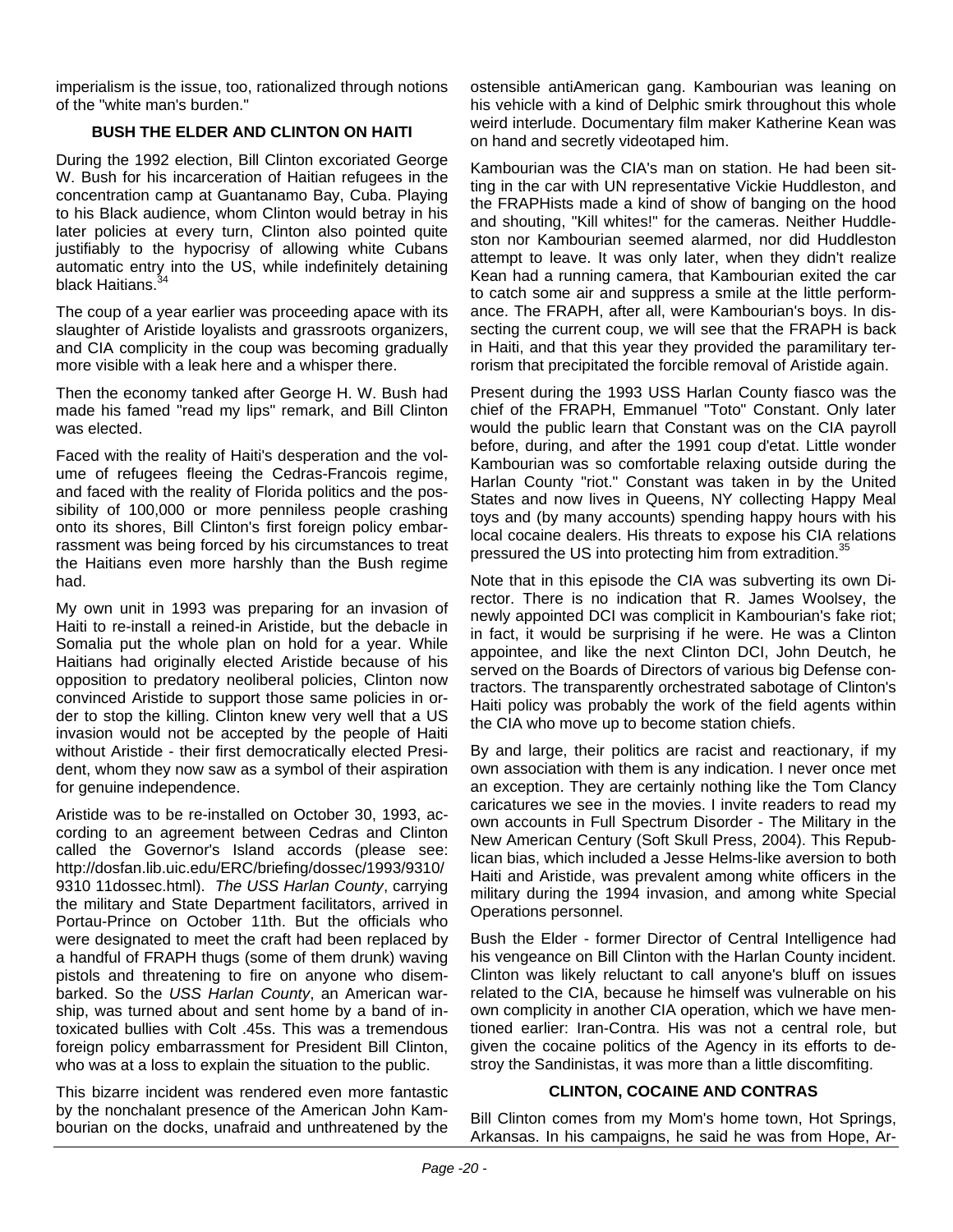imperialism is the issue, too, rationalized through notions of the "white man's burden."

#### **BUSH THE ELDER AND CLINTON ON HAITI**

During the 1992 election, Bill Clinton excoriated George W. Bush for his incarceration of Haitian refugees in the concentration camp at Guantanamo Bay, Cuba. Playing to his Black audience, whom Clinton would betray in his later policies at every turn, Clinton also pointed quite justifiably to the hypocrisy of allowing white Cubans automatic entry into the US, while indefinitely detaining black Haitians.

The coup of a year earlier was proceeding apace with its slaughter of Aristide loyalists and grassroots organizers, and CIA complicity in the coup was becoming gradually more visible with a leak here and a whisper there.

Then the economy tanked after George H. W. Bush had made his famed "read my lips" remark, and Bill Clinton was elected.

Faced with the reality of Haiti's desperation and the volume of refugees fleeing the Cedras-Francois regime, and faced with the reality of Florida politics and the possibility of 100,000 or more penniless people crashing onto its shores, Bill Clinton's first foreign policy embarrassment was being forced by his circumstances to treat the Haitians even more harshly than the Bush regime had.

My own unit in 1993 was preparing for an invasion of Haiti to re-install a reined-in Aristide, but the debacle in Somalia put the whole plan on hold for a year. While Haitians had originally elected Aristide because of his opposition to predatory neoliberal policies, Clinton now convinced Aristide to support those same policies in order to stop the killing. Clinton knew very well that a US invasion would not be accepted by the people of Haiti without Aristide - their first democratically elected President, whom they now saw as a symbol of their aspiration for genuine independence.

Aristide was to be re-installed on October 30, 1993, according to an agreement between Cedras and Clinton called the Governor's Island accords (please see: http://dosfan.lib.uic.edu/ERC/briefing/dossec/1993/9310/ 9310 11dossec.html). *The USS Harlan County*, carrying the military and State Department facilitators, arrived in Portau-Prince on October 11th. But the officials who were designated to meet the craft had been replaced by a handful of FRAPH thugs (some of them drunk) waving pistols and threatening to fire on anyone who disembarked. So the *USS Harlan County*, an American warship, was turned about and sent home by a band of intoxicated bullies with Colt .45s. This was a tremendous foreign policy embarrassment for President Bill Clinton. who was at a loss to explain the situation to the public.

This bizarre incident was rendered even more fantastic by the nonchalant presence of the American John Kambourian on the docks, unafraid and unthreatened by the

ostensible antiAmerican gang. Kambourian was leaning on his vehicle with a kind of Delphic smirk throughout this whole weird interlude. Documentary film maker Katherine Kean was on hand and secretly videotaped him.

Kambourian was the CIA's man on station. He had been sitting in the car with UN representative Vickie Huddleston, and the FRAPHists made a kind of show of banging on the hood and shouting, "Kill whites!" for the cameras. Neither Huddleston nor Kambourian seemed alarmed, nor did Huddleston attempt to leave. It was only later, when they didn't realize Kean had a running camera, that Kambourian exited the car to catch some air and suppress a smile at the little performance. The FRAPH, after all, were Kambourian's boys. In dissecting the current coup, we will see that the FRAPH is back in Haiti, and that this year they provided the paramilitary terrorism that precipitated the forcible removal of Aristide again.

Present during the 1993 USS Harlan County fiasco was the chief of the FRAPH, Emmanuel "Toto" Constant. Only later would the public learn that Constant was on the CIA payroll before, during, and after the 1991 coup d'etat. Little wonder Kambourian was so comfortable relaxing outside during the Harlan County "riot." Constant was taken in by the United States and now lives in Queens, NY collecting Happy Meal toys and (by many accounts) spending happy hours with his local cocaine dealers. His threats to expose his CIA relations pressured the US into protecting him from extradition.<sup>3</sup>

Note that in this episode the CIA was subverting its own Director. There is no indication that R. James Woolsey, the newly appointed DCI was complicit in Kambourian's fake riot; in fact, it would be surprising if he were. He was a Clinton appointee, and like the next Clinton DCI, John Deutch, he served on the Boards of Directors of various big Defense contractors. The transparently orchestrated sabotage of Clinton's Haiti policy was probably the work of the field agents within the CIA who move up to become station chiefs.

By and large, their politics are racist and reactionary, if my own association with them is any indication. I never once met an exception. They are certainly nothing like the Tom Clancy caricatures we see in the movies. I invite readers to read my own accounts in Full Spectrum Disorder - The Military in the New American Century (Soft Skull Press, 2004). This Republican bias, which included a Jesse Helms-like aversion to both Haiti and Aristide, was prevalent among white officers in the military during the 1994 invasion, and among white Special Operations personnel.

Bush the Elder - former Director of Central Intelligence had his vengeance on Bill Clinton with the Harlan County incident. Clinton was likely reluctant to call anyone's bluff on issues related to the CIA, because he himself was vulnerable on his own complicity in another CIA operation, which we have mentioned earlier: Iran-Contra. His was not a central role, but given the cocaine politics of the Agency in its efforts to destroy the Sandinistas, it was more than a little discomfiting.

#### **CLINTON, COCAINE AND CONTRAS**

Bill Clinton comes from my Mom's home town, Hot Springs, Arkansas. In his campaigns, he said he was from Hope, Ar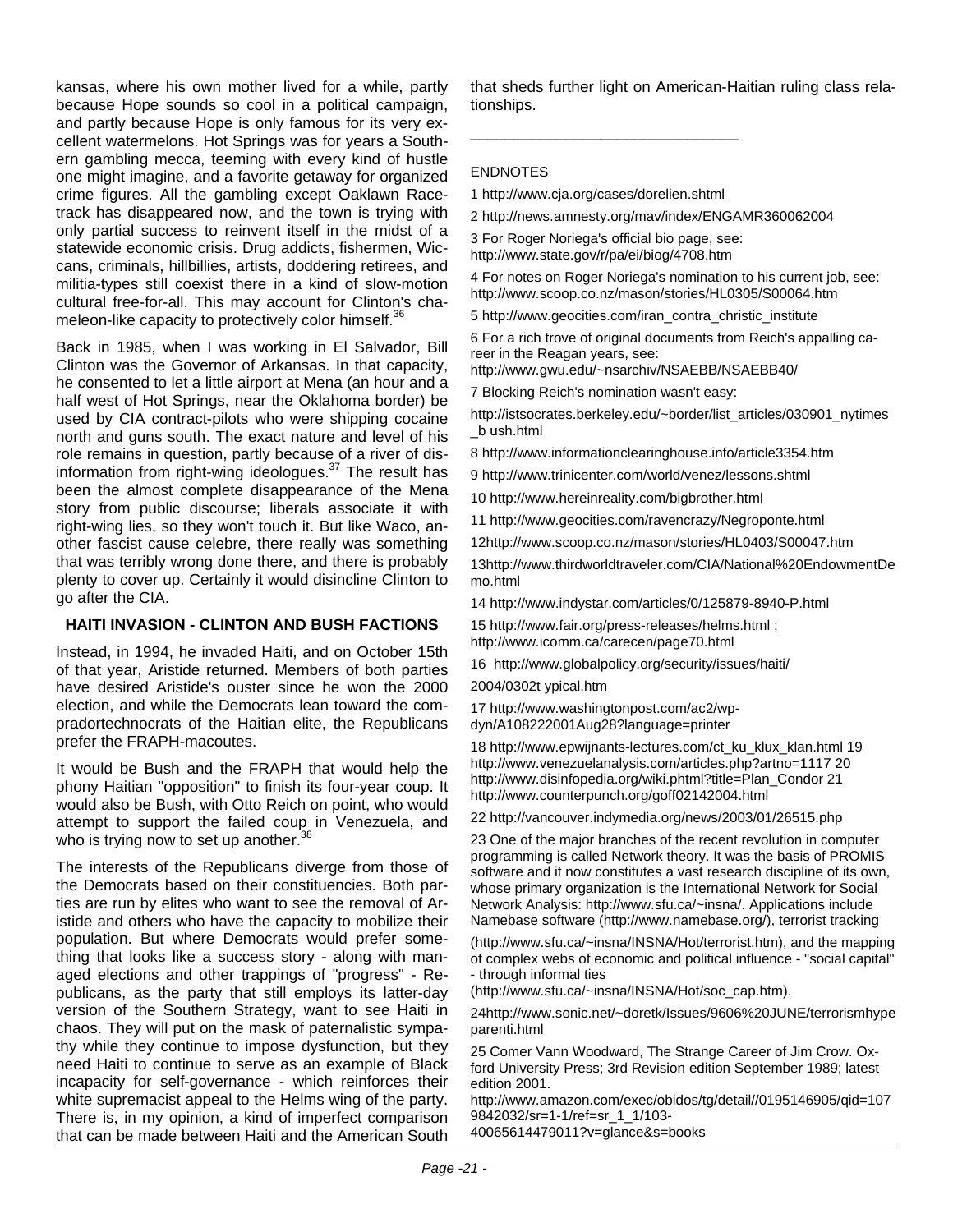kansas, where his own mother lived for a while, partly because Hope sounds so cool in a political campaign, and partly because Hope is only famous for its very excellent watermelons. Hot Springs was for years a Southern gambling mecca, teeming with every kind of hustle one might imagine, and a favorite getaway for organized crime figures. All the gambling except Oaklawn Racetrack has disappeared now, and the town is trying with only partial success to reinvent itself in the midst of a statewide economic crisis. Drug addicts, fishermen, Wiccans, criminals, hillbillies, artists, doddering retirees, and militia-types still coexist there in a kind of slow-motion cultural free-for-all. This may account for Clinton's chameleon-like capacity to protectively color himself.<sup>3</sup>

Back in 1985, when I was working in El Salvador, Bill Clinton was the Governor of Arkansas. In that capacity, he consented to let a little airport at Mena (an hour and a half west of Hot Springs, near the Oklahoma border) be used by CIA contract-pilots who were shipping cocaine north and guns south. The exact nature and level of his role remains in question, partly because of a river of disinformation from right-wing ideologues.37 The result has been the almost complete disappearance of the Mena story from public discourse; liberals associate it with right-wing lies, so they won't touch it. But like Waco, another fascist cause celebre, there really was something that was terribly wrong done there, and there is probably plenty to cover up. Certainly it would disincline Clinton to go after the CIA.

#### **HAITI INVASION - CLINTON AND BUSH FACTIONS**

Instead, in 1994, he invaded Haiti, and on October 15th of that year, Aristide returned. Members of both parties have desired Aristide's ouster since he won the 2000 election, and while the Democrats lean toward the compradortechnocrats of the Haitian elite, the Republicans prefer the FRAPH-macoutes.

It would be Bush and the FRAPH that would help the phony Haitian "opposition" to finish its four-year coup. It would also be Bush, with Otto Reich on point, who would attempt to support the failed coup in Venezuela, and who is trying now to set up another. $\frac{3}{5}$ 

The interests of the Republicans diverge from those of the Democrats based on their constituencies. Both parties are run by elites who want to see the removal of Aristide and others who have the capacity to mobilize their population. But where Democrats would prefer something that looks like a success story - along with managed elections and other trappings of "progress" - Republicans, as the party that still employs its latter-day version of the Southern Strategy, want to see Haiti in chaos. They will put on the mask of paternalistic sympathy while they continue to impose dysfunction, but they need Haiti to continue to serve as an example of Black incapacity for self-governance - which reinforces their white supremacist appeal to the Helms wing of the party. There is, in my opinion, a kind of imperfect comparison that can be made between Haiti and the American South that sheds further light on American-Haitian ruling class relationships.

#### ENDNOTES

1 http://www.cja.org/cases/dorelien.shtml

\_\_\_\_\_\_\_\_\_\_\_\_\_\_\_\_\_\_\_\_\_\_\_\_\_\_\_\_\_\_\_

2 http://news.amnesty.org/mav/index/ENGAMR360062004

3 For Roger Noriega's official bio page, see: http://www.state.gov/r/pa/ei/biog/4708.htm

4 For notes on Roger Noriega's nomination to his current job, see: http://www.scoop.co.nz/mason/stories/HL0305/S00064.htm

5 http://www.geocities.com/iran\_contra\_christic\_institute

6 For a rich trove of original documents from Reich's appalling career in the Reagan years, see:

http://www.gwu.edu/~nsarchiv/NSAEBB/NSAEBB40/

7 Blocking Reich's nomination wasn't easy:

http://istsocrates.berkeley.edu/~border/list\_articles/030901\_nytimes \_b ush.html

8 http://www.informationclearinghouse.info/article3354.htm

9 http://www.trinicenter.com/world/venez/lessons.shtml

10 http://www.hereinreality.com/bigbrother.html

11 http://www.geocities.com/ravencrazy/Negroponte.html

12http://www.scoop.co.nz/mason/stories/HL0403/S00047.htm

13http://www.thirdworldtraveler.com/CIA/National%20EndowmentDe mo.html

14 http://www.indystar.com/articles/0/125879-8940-P.html

15 http://www.fair.org/press-releases/helms.html ; http://www.icomm.ca/carecen/page70.html

16 http://www.globalpolicy.org/security/issues/haiti/

2004/0302t ypical.htm

17 http://www.washingtonpost.com/ac2/wpdyn/A108222001Aug28?language=printer

18 http://www.epwijnants-lectures.com/ct\_ku\_klux\_klan.html 19 http://www.venezuelanalysis.com/articles.php?artno=1117 20 http://www.disinfopedia.org/wiki.phtml?title=Plan\_Condor 21 http://www.counterpunch.org/goff02142004.html

22 http://vancouver.indymedia.org/news/2003/01/26515.php

23 One of the major branches of the recent revolution in computer programming is called Network theory. It was the basis of PROMIS software and it now constitutes a vast research discipline of its own, whose primary organization is the International Network for Social Network Analysis: http://www.sfu.ca/~insna/. Applications include Namebase software (http://www.namebase.org/), terrorist tracking

(http://www.sfu.ca/~insna/INSNA/Hot/terrorist.htm), and the mapping of complex webs of economic and political influence - "social capital" - through informal ties

(http://www.sfu.ca/~insna/INSNA/Hot/soc\_cap.htm).

24http://www.sonic.net/~doretk/Issues/9606%20JUNE/terrorismhype parenti.html

25 Comer Vann Woodward, The Strange Career of Jim Crow. Oxford University Press; 3rd Revision edition September 1989; latest edition 2001.

http://www.amazon.com/exec/obidos/tg/detail//0195146905/qid=107 9842032/sr=1-1/ref=sr\_1\_1/103-

40065614479011?v=glance&s=books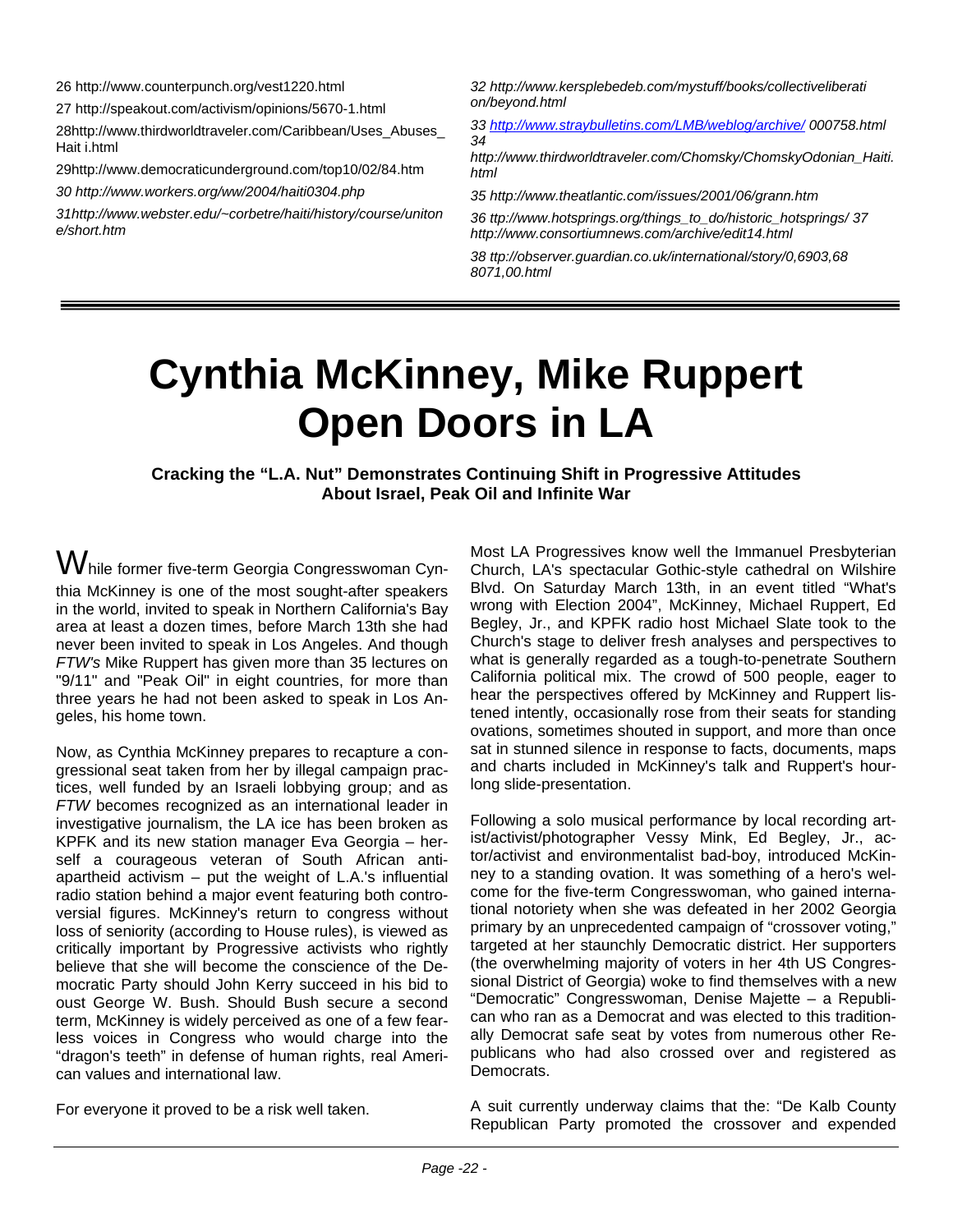26 http://www.counterpunch.org/vest1220.html

27 http://speakout.com/activism/opinions/5670-1.html

28http://www.thirdworldtraveler.com/Caribbean/Uses\_Abuses\_ Hait i.html

29http://www.democraticunderground.com/top10/02/84.htm

*30 http://www.workers.org/ww/2004/haiti0304.php* 

*31http://www.webster.edu/~corbetre/haiti/history/course/uniton e/short.htm* 

*32 http://www.kersplebedeb.com/mystuff/books/collectiveliberati on/beyond.html* 

*33 <http://www.straybulletins.com/LMB/weblog/archive/> 000758.html 34* 

*http://www.thirdworldtraveler.com/Chomsky/ChomskyOdonian\_Haiti. html* 

*35 http://www.theatlantic.com/issues/2001/06/grann.htm*

*36 ttp://www.hotsprings.org/things\_to\_do/historic\_hotsprings/ 37 http://www.consortiumnews.com/archive/edit14.html* 

*38 ttp://observer.guardian.co.uk/international/story/0,6903,68 8071,00.html* 

## **Cynthia McKinney, Mike Ruppert Open Doors in LA**

#### **Cracking the "L.A. Nut" Demonstrates Continuing Shift in Progressive Attitudes About Israel, Peak Oil and Infinite War**

 $\operatorname{\mathsf{W}}$ hile former five-term Georgia Congresswoman Cynthia McKinney is one of the most sought-after speakers in the world, invited to speak in Northern California's Bay area at least a dozen times, before March 13th she had never been invited to speak in Los Angeles. And though *FTW's* Mike Ruppert has given more than 35 lectures on "9/11" and "Peak Oil" in eight countries, for more than three years he had not been asked to speak in Los Angeles, his home town.

Now, as Cynthia McKinney prepares to recapture a congressional seat taken from her by illegal campaign practices, well funded by an Israeli lobbying group; and as *FTW* becomes recognized as an international leader in investigative journalism, the LA ice has been broken as KPFK and its new station manager Eva Georgia – herself a courageous veteran of South African antiapartheid activism  $-$  put the weight of L.A.'s influential radio station behind a major event featuring both controversial figures. McKinney's return to congress without loss of seniority (according to House rules), is viewed as critically important by Progressive activists who rightly believe that she will become the conscience of the Democratic Party should John Kerry succeed in his bid to oust George W. Bush. Should Bush secure a second term, McKinney is widely perceived as one of a few fearless voices in Congress who would charge into the "dragon's teeth" in defense of human rights, real American values and international law.

For everyone it proved to be a risk well taken.

Most LA Progressives know well the Immanuel Presbyterian Church, LA's spectacular Gothic-style cathedral on Wilshire Blvd. On Saturday March 13th, in an event titled "What's wrong with Election 2004", McKinney, Michael Ruppert, Ed Begley, Jr., and KPFK radio host Michael Slate took to the Church's stage to deliver fresh analyses and perspectives to what is generally regarded as a tough-to-penetrate Southern California political mix. The crowd of 500 people, eager to hear the perspectives offered by McKinney and Ruppert listened intently, occasionally rose from their seats for standing ovations, sometimes shouted in support, and more than once sat in stunned silence in response to facts, documents, maps and charts included in McKinney's talk and Ruppert's hourlong slide-presentation.

Following a solo musical performance by local recording artist/activist/photographer Vessy Mink, Ed Begley, Jr., actor/activist and environmentalist bad-boy, introduced McKinney to a standing ovation. It was something of a hero's welcome for the five-term Congresswoman, who gained international notoriety when she was defeated in her 2002 Georgia primary by an unprecedented campaign of "crossover voting," targeted at her staunchly Democratic district. Her supporters (the overwhelming majority of voters in her 4th US Congressional District of Georgia) woke to find themselves with a new "Democratic" Congresswoman, Denise Majette – a Republican who ran as a Democrat and was elected to this traditionally Democrat safe seat by votes from numerous other Republicans who had also crossed over and registered as Democrats.

A suit currently underway claims that the: "De Kalb County Republican Party promoted the crossover and expended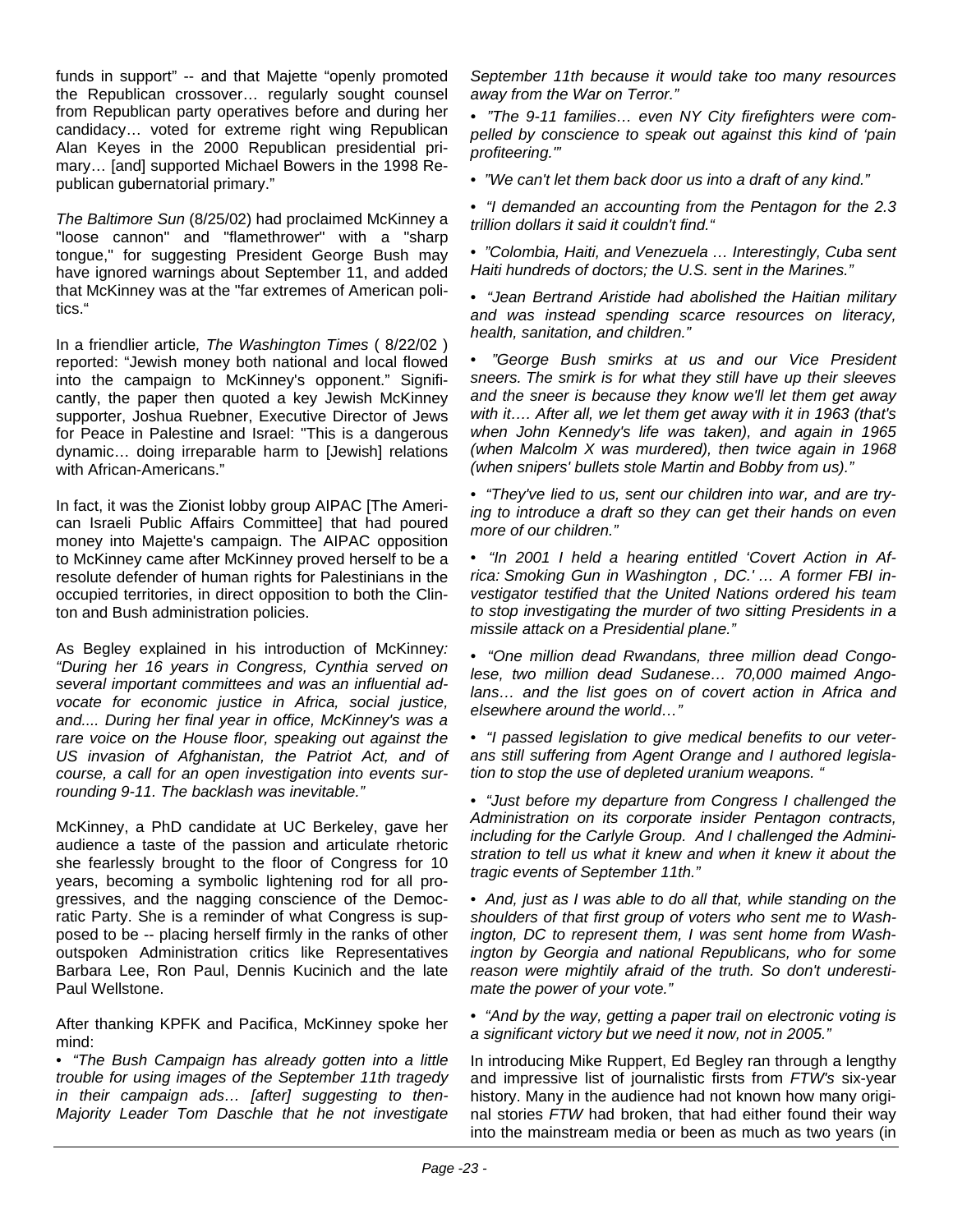funds in support" -- and that Majette "openly promoted the Republican crossover… regularly sought counsel from Republican party operatives before and during her candidacy… voted for extreme right wing Republican Alan Keyes in the 2000 Republican presidential primary… [and] supported Michael Bowers in the 1998 Republican gubernatorial primary."

*The Baltimore Sun* (8/25/02) had proclaimed McKinney a "loose cannon" and "flamethrower" with a "sharp tongue," for suggesting President George Bush may have ignored warnings about September 11, and added that McKinney was at the "far extremes of American politics."

In a friendlier article*, The Washington Times* ( 8/22/02 ) reported: "Jewish money both national and local flowed into the campaign to McKinney's opponent." Significantly, the paper then quoted a key Jewish McKinney supporter, Joshua Ruebner, Executive Director of Jews for Peace in Palestine and Israel: "This is a dangerous dynamic… doing irreparable harm to [Jewish] relations with African-Americans."

In fact, it was the Zionist lobby group AIPAC [The American Israeli Public Affairs Committee] that had poured money into Majette's campaign. The AIPAC opposition to McKinney came after McKinney proved herself to be a resolute defender of human rights for Palestinians in the occupied territories, in direct opposition to both the Clinton and Bush administration policies.

As Begley explained in his introduction of McKinney*: "During her 16 years in Congress, Cynthia served on several important committees and was an influential advocate for economic justice in Africa, social justice, and.... During her final year in office, McKinney's was a rare voice on the House floor, speaking out against the US invasion of Afghanistan, the Patriot Act, and of course, a call for an open investigation into events surrounding 9-11. The backlash was inevitable."*

McKinney, a PhD candidate at UC Berkeley, gave her audience a taste of the passion and articulate rhetoric she fearlessly brought to the floor of Congress for 10 years, becoming a symbolic lightening rod for all progressives, and the nagging conscience of the Democratic Party. She is a reminder of what Congress is supposed to be -- placing herself firmly in the ranks of other outspoken Administration critics like Representatives Barbara Lee, Ron Paul, Dennis Kucinich and the late Paul Wellstone.

After thanking KPFK and Pacifica, McKinney spoke her mind:

*• "The Bush Campaign has already gotten into a little trouble for using images of the September 11th tragedy in their campaign ads… [after] suggesting to then-Majority Leader Tom Daschle that he not investigate* 

*September 11th because it would take too many resources away from the War on Terror."* 

*• "The 9-11 families… even NY City firefighters were compelled by conscience to speak out against this kind of 'pain profiteering.'"* 

*• "We can't let them back door us into a draft of any kind."* 

*• "I demanded an accounting from the Pentagon for the 2.3 trillion dollars it said it couldn't find."* 

*• "Colombia, Haiti, and Venezuela … Interestingly, Cuba sent Haiti hundreds of doctors; the U.S. sent in the Marines."* 

*• "Jean Bertrand Aristide had abolished the Haitian military and was instead spending scarce resources on literacy, health, sanitation, and children."* 

*• "George Bush smirks at us and our Vice President sneers. The smirk is for what they still have up their sleeves and the sneer is because they know we'll let them get away with it…. After all, we let them get away with it in 1963 (that's when John Kennedy's life was taken), and again in 1965 (when Malcolm X was murdered), then twice again in 1968 (when snipers' bullets stole Martin and Bobby from us)."* 

*• "They've lied to us, sent our children into war, and are trying to introduce a draft so they can get their hands on even more of our children."* 

*• "In 2001 I held a hearing entitled 'Covert Action in Africa: Smoking Gun in Washington , DC.' … A former FBI investigator testified that the United Nations ordered his team to stop investigating the murder of two sitting Presidents in a missile attack on a Presidential plane."* 

*• "One million dead Rwandans, three million dead Congolese, two million dead Sudanese… 70,000 maimed Angolans… and the list goes on of covert action in Africa and elsewhere around the world…"* 

*• "I passed legislation to give medical benefits to our veterans still suffering from Agent Orange and I authored legislation to stop the use of depleted uranium weapons. "* 

*• "Just before my departure from Congress I challenged the Administration on its corporate insider Pentagon contracts, including for the Carlyle Group. And I challenged the Administration to tell us what it knew and when it knew it about the tragic events of September 11th."* 

*• And, just as I was able to do all that, while standing on the shoulders of that first group of voters who sent me to Washington, DC to represent them, I was sent home from Washington by Georgia and national Republicans, who for some reason were mightily afraid of the truth. So don't underestimate the power of your vote."* 

*• "And by the way, getting a paper trail on electronic voting is a significant victory but we need it now, not in 2005."* 

In introducing Mike Ruppert, Ed Begley ran through a lengthy and impressive list of journalistic firsts from *FTW's* six-year history. Many in the audience had not known how many original stories *FTW* had broken, that had either found their way into the mainstream media or been as much as two years (in